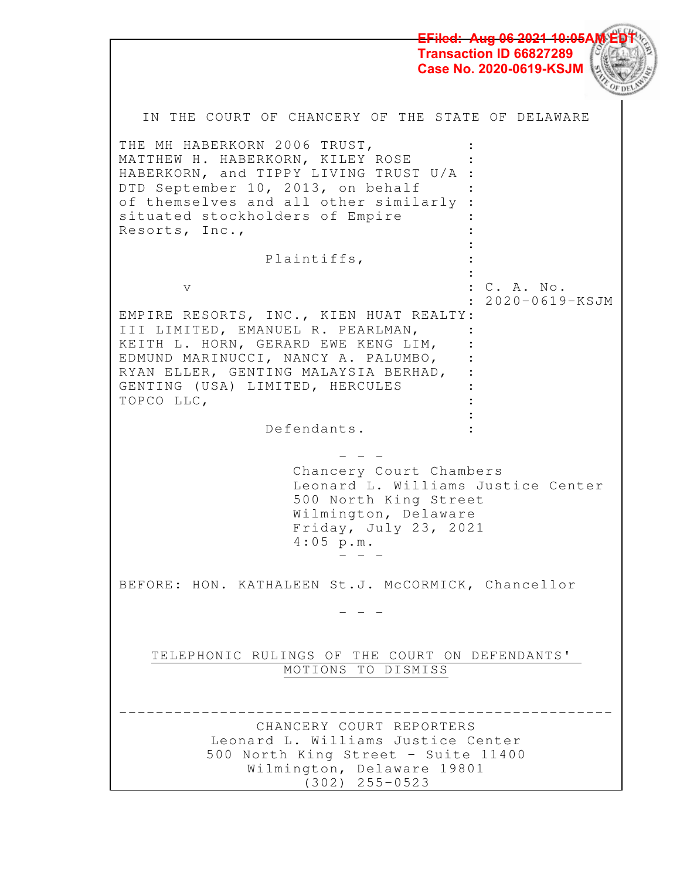**2.11** 1 IN THE COURT OF CHANCERY OF THE STATE OF DELAWARE THE MH HABERKORN 2006 TRUST, MATTHEW H. HABERKORN, KILEY ROSE HABERKORN, and TIPPY LIVING TRUST U/A : DTD September 10, 2013, on behalf of themselves and all other similarly : situated stockholders of Empire Resorts, Inc.,  $\mathbb{R}^2$  : Plaintiffs, the contract of the contract of the contract of the contract of the contract of v : C. A. No. : 2020-0619-KSJM EMPIRE RESORTS, INC., KIEN HUAT REALTY: III LIMITED, EMANUEL R. PEARLMAN, KEITH L. HORN, GERARD EWE KENG LIM, EDMUND MARINUCCI, NANCY A. PALUMBO, RYAN ELLER, GENTING MALAYSIA BERHAD, : GENTING (USA) LIMITED, HERCULES TOPCO LLC, **Service State State** Defendants. : - - - Chancery Court Chambers Leonard L. Williams Justice Center 500 North King Street Wilmington, Delaware Friday, July 23, 2021 4:05 p.m. - - - BEFORE: HON. KATHALEEN St.J. McCORMICK, Chancellor - - - TELEPHONIC RULINGS OF THE COURT ON DEFENDANTS' MOTIONS TO DISMISS ------------------------------------------------------ CHANCERY COURT REPORTERS Leonard L. Williams Justice Center 500 North King Street - Suite 11400 Wilmington, Delaware 19801 (302) 255-0523 <del>Aug 06 2021 10:05</del> **Transaction ID 66827289 Case No. 2020-0619-KSJM**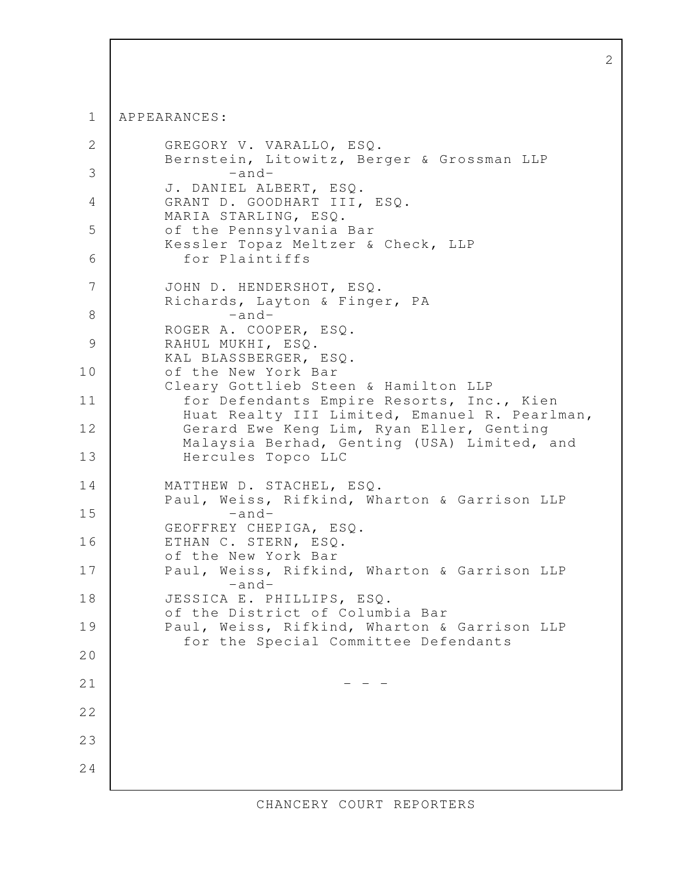APPEARANCES: 1

```
 GREGORY V. VARALLO, ESQ. 
           Bernstein, Litowitz, Berger & Grossman LLP 
                   -and-
           J. DANIEL ALBERT, ESQ. 
          GRANT D. GOODHART III, ESQ.
           MARIA STARLING, ESQ. 
           of the Pennsylvania Bar 
          Kessler Topaz Meltzer & Check, LLP
             for Plaintiffs 
           JOHN D. HENDERSHOT, ESQ. 
           Richards, Layton & Finger, PA 
                   -and-
           ROGER A. COOPER, ESQ. 
          RAHUL MUKHI, ESQ.
           KAL BLASSBERGER, ESQ. 
           of the New York Bar 
          Cleary Gottlieb Steen & Hamilton LLP
             for Defendants Empire Resorts, Inc., Kien 
             Huat Realty III Limited, Emanuel R. Pearlman,
            Gerard Ewe Keng Lim, Ryan Eller, Genting 
            Malaysia Berhad, Genting (USA) Limited, and 
            Hercules Topco LLC 
           MATTHEW D. STACHEL, ESQ. 
           Paul, Weiss, Rifkind, Wharton & Garrison LLP 
                   -and-
           GEOFFREY CHEPIGA, ESQ. 
          ETHAN C. STERN, ESQ.
           of the New York Bar 
          Paul, Weiss, Rifkind, Wharton & Garrison LLP
                   -and-
           JESSICA E. PHILLIPS, ESQ. 
           of the District of Columbia Bar 
          Paul, Weiss, Rifkind, Wharton & Garrison LLP
             for the Special Committee Defendants 
                                - - - 2
  3
  4
  5
  6
  7
  8
  9
10
11
12
13
14
15
16
17
18
19
20
21
22
23
24
```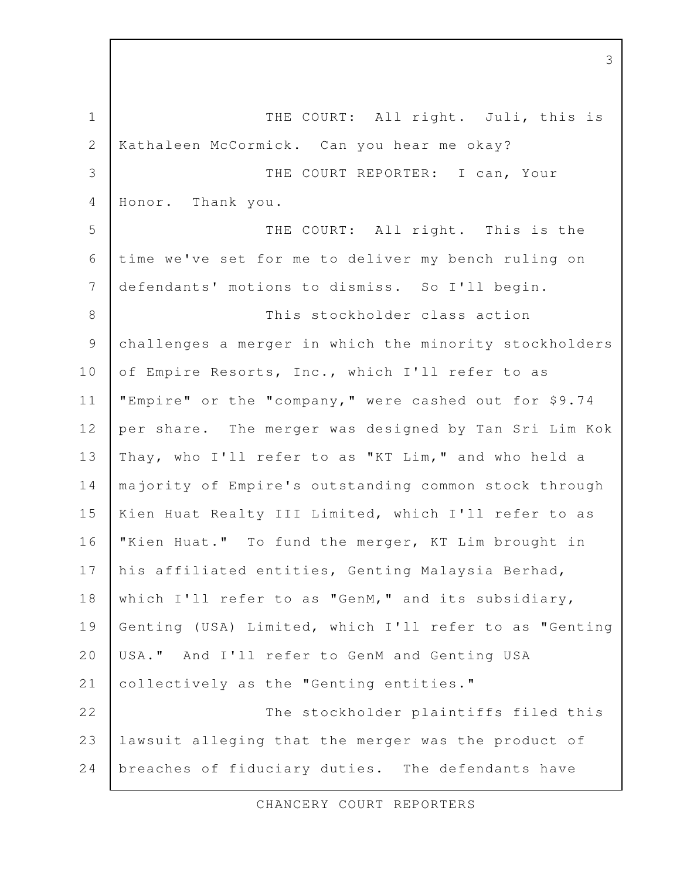THE COURT: All right. Juli, this is Kathaleen McCormick. Can you hear me okay? THE COURT REPORTER: I can, Your Honor. Thank you. THE COURT: All right. This is the time we've set for me to deliver my bench ruling on defendants' motions to dismiss. So I'll begin. This stockholder class action challenges a merger in which the minority stockholders of Empire Resorts, Inc., which I'll refer to as "Empire" or the "company," were cashed out for \$9.74 per share. The merger was designed by Tan Sri Lim Kok Thay, who I'll refer to as "KT Lim," and who held a majority of Empire's outstanding common stock through Kien Huat Realty III Limited, which I'll refer to as "Kien Huat." To fund the merger, KT Lim brought in his affiliated entities, Genting Malaysia Berhad, which I'll refer to as "GenM," and its subsidiary, Genting (USA) Limited, which I'll refer to as "Genting USA." And I'll refer to GenM and Genting USA collectively as the "Genting entities." The stockholder plaintiffs filed this lawsuit alleging that the merger was the product of breaches of fiduciary duties. The defendants have 1 2 3 4 5 6 7 8 9 10 11 12 13 14 15 16 17 18 19 20 21 22 23 24

CHANCERY COURT REPORTERS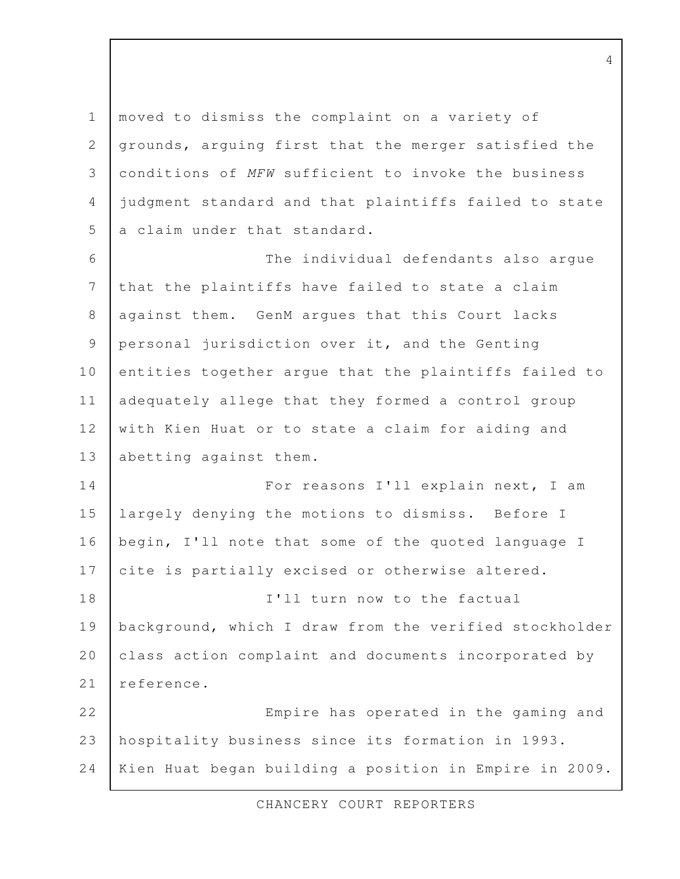moved to dismiss the complaint on a variety of grounds, arguing first that the merger satisfied the conditions of MFW sufficient to invoke the business judgment standard and that plaintiffs failed to state a claim under that standard. The individual defendants also argue that the plaintiffs have failed to state a claim against them. GenM argues that this Court lacks personal jurisdiction over it, and the Genting entities together argue that the plaintiffs failed to adequately allege that they formed a control group with Kien Huat or to state a claim for aiding and abetting against them. For reasons I'll explain next, I am largely denying the motions to dismiss. Before I begin, I'll note that some of the quoted language I cite is partially excised or otherwise altered. I'll turn now to the factual background, which I draw from the verified stockholder class action complaint and documents incorporated by reference. Empire has operated in the gaming and hospitality business since its formation in 1993. Kien Huat began building a position in Empire in 2009. 1 2 3 4 5 6 7 8 9 10 11 12 13 14 15 16 17 18 19 20 21 22 23 24

CHANCERY COURT REPORTERS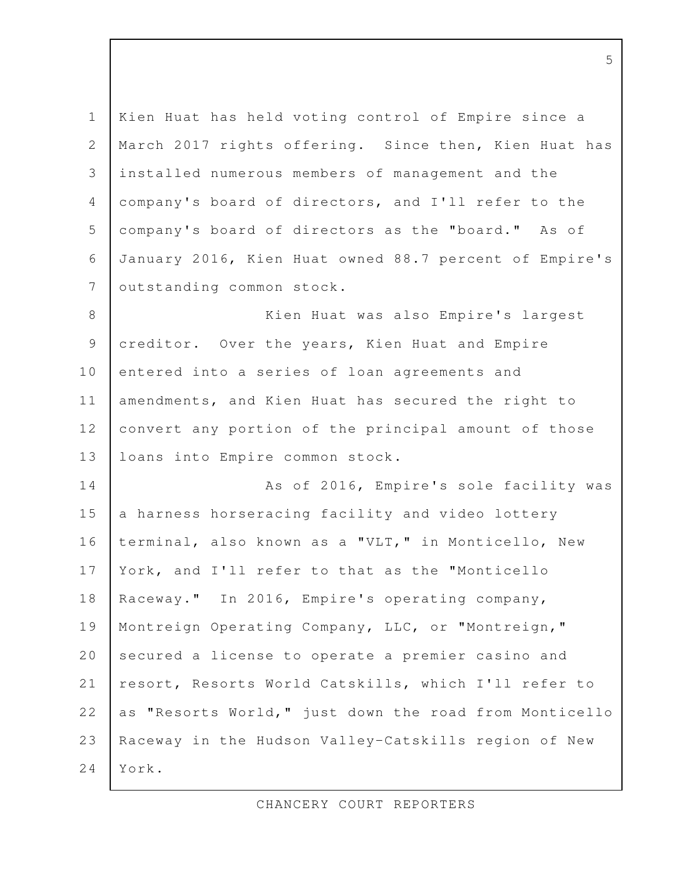Kien Huat has held voting control of Empire since a March 2017 rights offering. Since then, Kien Huat has installed numerous members of management and the company's board of directors, and I'll refer to the company's board of directors as the "board." As of January 2016, Kien Huat owned 88.7 percent of Empire's outstanding common stock. Kien Huat was also Empire's largest creditor. Over the years, Kien Huat and Empire entered into a series of loan agreements and amendments, and Kien Huat has secured the right to convert any portion of the principal amount of those loans into Empire common stock. As of 2016, Empire's sole facility was a harness horseracing facility and video lottery terminal, also known as a "VLT," in Monticello, New York, and I'll refer to that as the "Monticello Raceway." In 2016, Empire's operating company, Montreign Operating Company, LLC, or "Montreign," secured a license to operate a premier casino and resort, Resorts World Catskills, which I'll refer to as "Resorts World," just down the road from Monticello Raceway in the Hudson Valley-Catskills region of New York. 1 2 3 4 5 6 7 8 9 10 11 12 13 14 15 16 17 18 19 20 21 22 23 24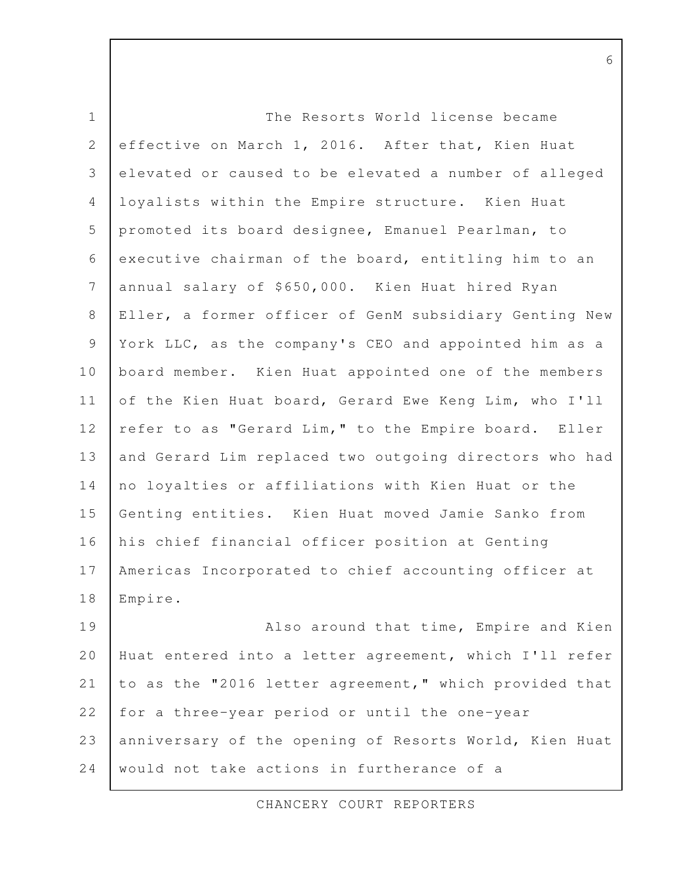| $\mathbf 1$    | The Resorts World license became                       |
|----------------|--------------------------------------------------------|
| 2              | effective on March 1, 2016. After that, Kien Huat      |
| 3              | elevated or caused to be elevated a number of alleged  |
| $\overline{4}$ | loyalists within the Empire structure. Kien Huat       |
| 5              | promoted its board designee, Emanuel Pearlman, to      |
| 6              | executive chairman of the board, entitling him to an   |
| 7              | annual salary of \$650,000. Kien Huat hired Ryan       |
| 8              | Eller, a former officer of GenM subsidiary Genting New |
| 9              | York LLC, as the company's CEO and appointed him as a  |
| 10             | board member. Kien Huat appointed one of the members   |
| 11             | of the Kien Huat board, Gerard Ewe Keng Lim, who I'll  |
| 12             | refer to as "Gerard Lim," to the Empire board. Eller   |
| 13             | and Gerard Lim replaced two outgoing directors who had |
| 14             | no loyalties or affiliations with Kien Huat or the     |
| 15             | Genting entities. Kien Huat moved Jamie Sanko from     |
| 16             | his chief financial officer position at Genting        |
| 17             | Americas Incorporated to chief accounting officer at   |
| 18             | Empire.                                                |
| 19             | Also around that time, Empire and Kien                 |
| 20             | Huat entered into a letter agreement, which I'll refer |
| 21             | to as the "2016 letter agreement," which provided that |

6

for a three-year period or until the one-year 22

anniversary of the opening of Resorts World, Kien Huat would not take actions in furtherance of a 23 24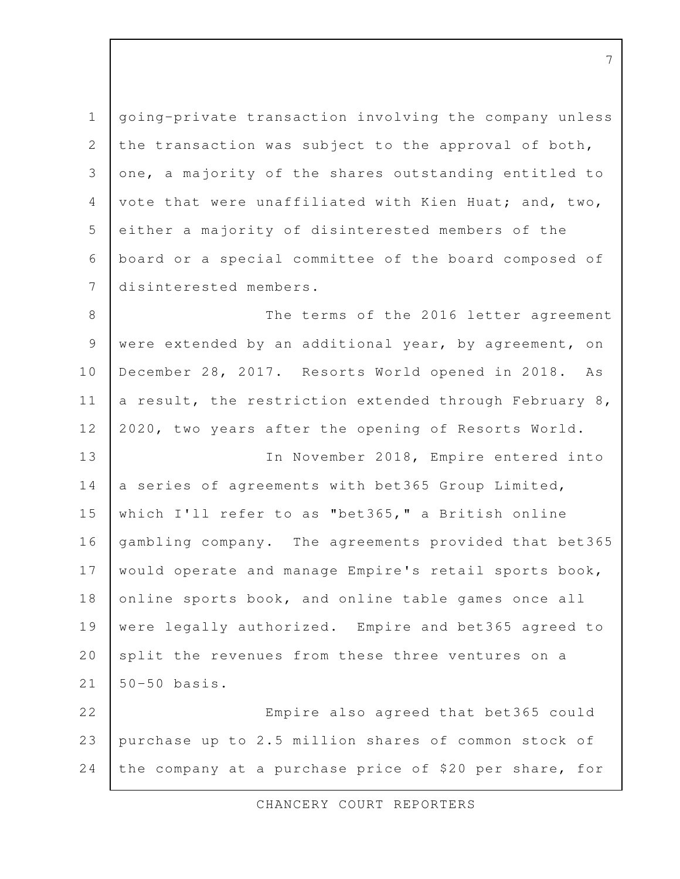going-private transaction involving the company unless the transaction was subject to the approval of both, one, a majority of the shares outstanding entitled to vote that were unaffiliated with Kien Huat; and, two, either a majority of disinterested members of the board or a special committee of the board composed of disinterested members. 1 2 3 4 5 6 7

The terms of the 2016 letter agreement were extended by an additional year, by agreement, on December 28, 2017. Resorts World opened in 2018. As a result, the restriction extended through February 8, 2020, two years after the opening of Resorts World. In November 2018, Empire entered into a series of agreements with bet365 Group Limited, which I'll refer to as "bet365," a British online gambling company. The agreements provided that bet365 would operate and manage Empire's retail sports book, online sports book, and online table games once all were legally authorized. Empire and bet365 agreed to split the revenues from these three ventures on a 50-50 basis. Empire also agreed that bet365 could 8 9 10 11 12 13 14 15 16 17 18 19 20 21 22

purchase up to 2.5 million shares of common stock of the company at a purchase price of \$20 per share, for 23 24

CHANCERY COURT REPORTERS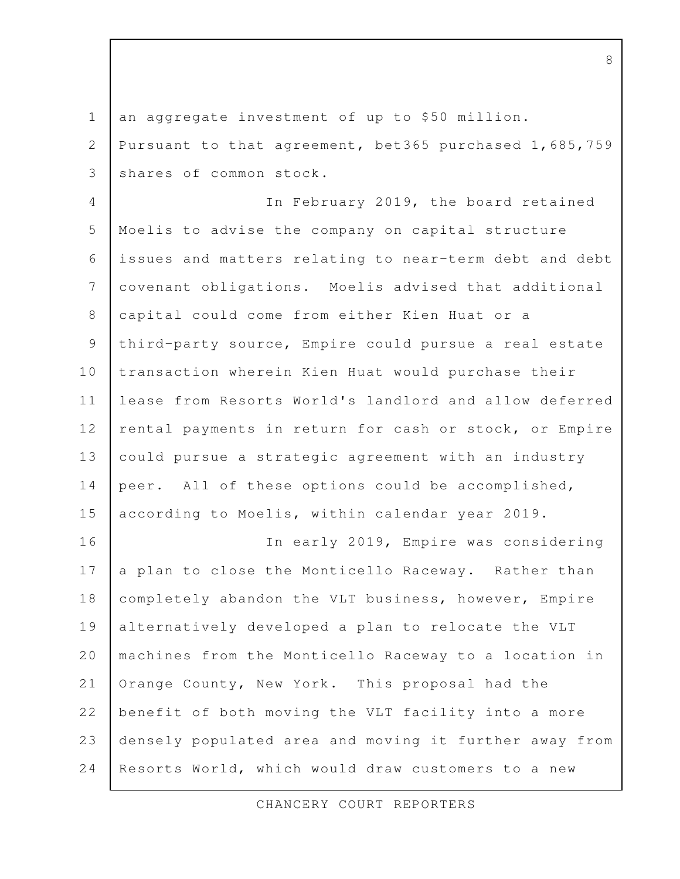an aggregate investment of up to \$50 million. 1

Pursuant to that agreement, bet365 purchased 1,685,759 shares of common stock. 2 3

In February 2019, the board retained Moelis to advise the company on capital structure issues and matters relating to near-term debt and debt covenant obligations. Moelis advised that additional capital could come from either Kien Huat or a third-party source, Empire could pursue a real estate transaction wherein Kien Huat would purchase their lease from Resorts World's landlord and allow deferred rental payments in return for cash or stock, or Empire could pursue a strategic agreement with an industry peer. All of these options could be accomplished, according to Moelis, within calendar year 2019. 4 5 6 7 8 9 10 11 12 13 14 15

In early 2019, Empire was considering a plan to close the Monticello Raceway. Rather than completely abandon the VLT business, however, Empire alternatively developed a plan to relocate the VLT machines from the Monticello Raceway to a location in Orange County, New York. This proposal had the benefit of both moving the VLT facility into a more densely populated area and moving it further away from Resorts World, which would draw customers to a new 16 17 18 19 20 21 22 23 24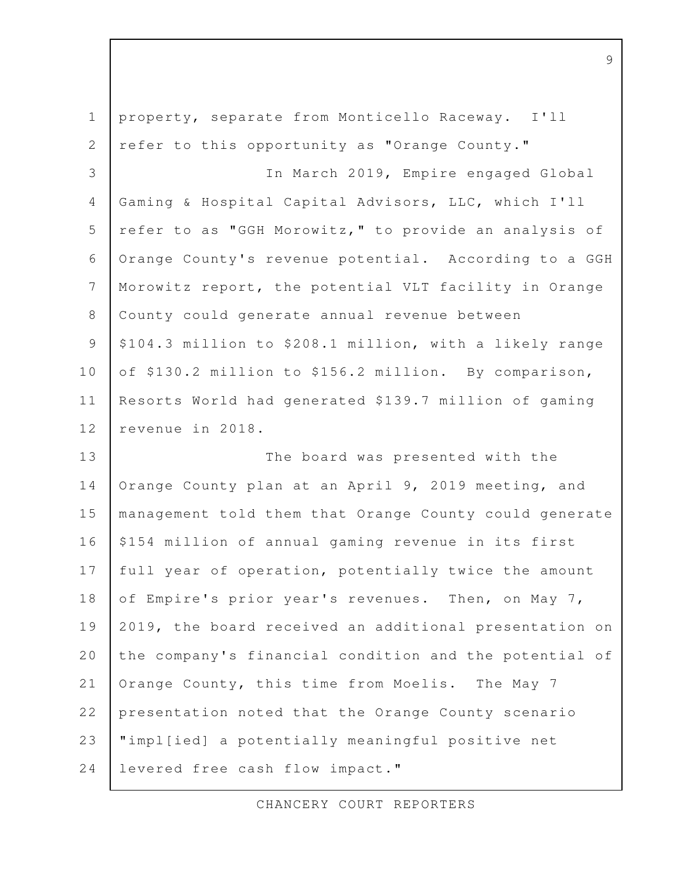| $\mathbf 1$    | property, separate from Monticello Raceway. I'll        |
|----------------|---------------------------------------------------------|
| $\mathbf{2}$   | refer to this opportunity as "Orange County."           |
| 3              | In March 2019, Empire engaged Global                    |
| $\overline{4}$ | Gaming & Hospital Capital Advisors, LLC, which I'll     |
| 5              | refer to as "GGH Morowitz," to provide an analysis of   |
| 6              | Orange County's revenue potential. According to a GGH   |
| $\overline{7}$ | Morowitz report, the potential VLT facility in Orange   |
| $8\,$          | County could generate annual revenue between            |
| $\mathcal{G}$  | \$104.3 million to \$208.1 million, with a likely range |
| 10             | of \$130.2 million to \$156.2 million. By comparison,   |
| 11             | Resorts World had generated \$139.7 million of gaming   |
| 12             | revenue in 2018.                                        |
| 13             | The board was presented with the                        |
| 14             | Orange County plan at an April 9, 2019 meeting, and     |
| 15             | management told them that Orange County could generate  |
| 16             | \$154 million of annual gaming revenue in its first     |
| 17             | full year of operation, potentially twice the amount    |
| 18             | of Empire's prior year's revenues. Then, on May 7,      |
| 19             | 2019, the board received an additional presentation on  |
| 20             | the company's financial condition and the potential of  |
| 21             | Orange County, this time from Moelis. The May 7         |
| 22             | presentation noted that the Orange County scenario      |
| 23             | "impl[ied] a potentially meaningful positive net        |
| 24             | levered free cash flow impact."                         |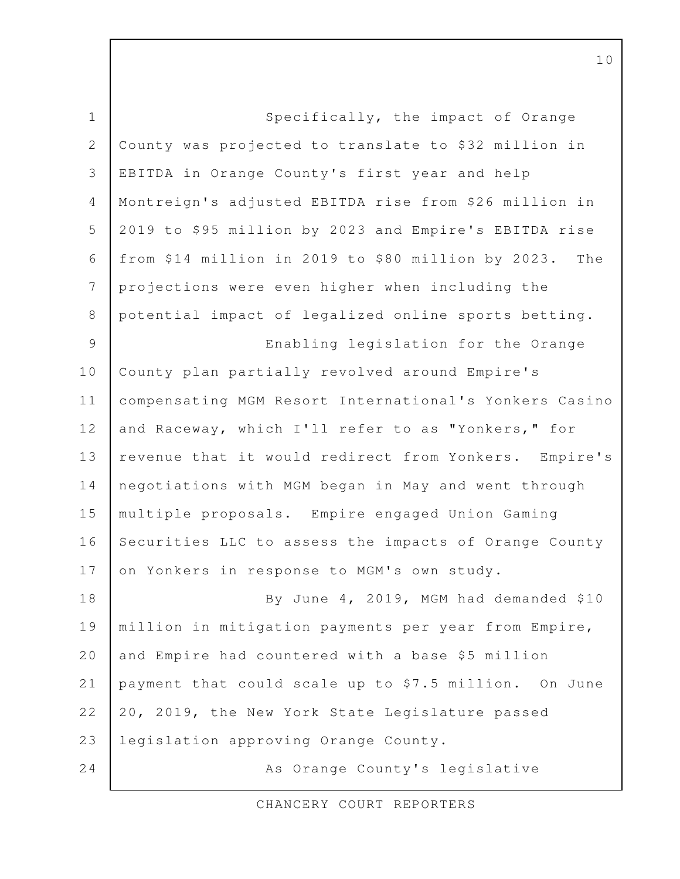Specifically, the impact of Orange County was projected to translate to \$32 million in EBITDA in Orange County's first year and help Montreign's adjusted EBITDA rise from \$26 million in 2019 to \$95 million by 2023 and Empire's EBITDA rise from \$14 million in 2019 to \$80 million by 2023. The projections were even higher when including the potential impact of legalized online sports betting. Enabling legislation for the Orange County plan partially revolved around Empire's compensating MGM Resort International's Yonkers Casino and Raceway, which I'll refer to as "Yonkers," for revenue that it would redirect from Yonkers. Empire's negotiations with MGM began in May and went through multiple proposals. Empire engaged Union Gaming Securities LLC to assess the impacts of Orange County on Yonkers in response to MGM's own study. By June 4, 2019, MGM had demanded \$10 million in mitigation payments per year from Empire, and Empire had countered with a base \$5 million payment that could scale up to \$7.5 million. On June 20, 2019, the New York State Legislature passed legislation approving Orange County. As Orange County's legislative 1 2 3 4 5 6 7 8 9 10 11 12 13 14 15 16 17 18 19 20 21 22 23 24

CHANCERY COURT REPORTERS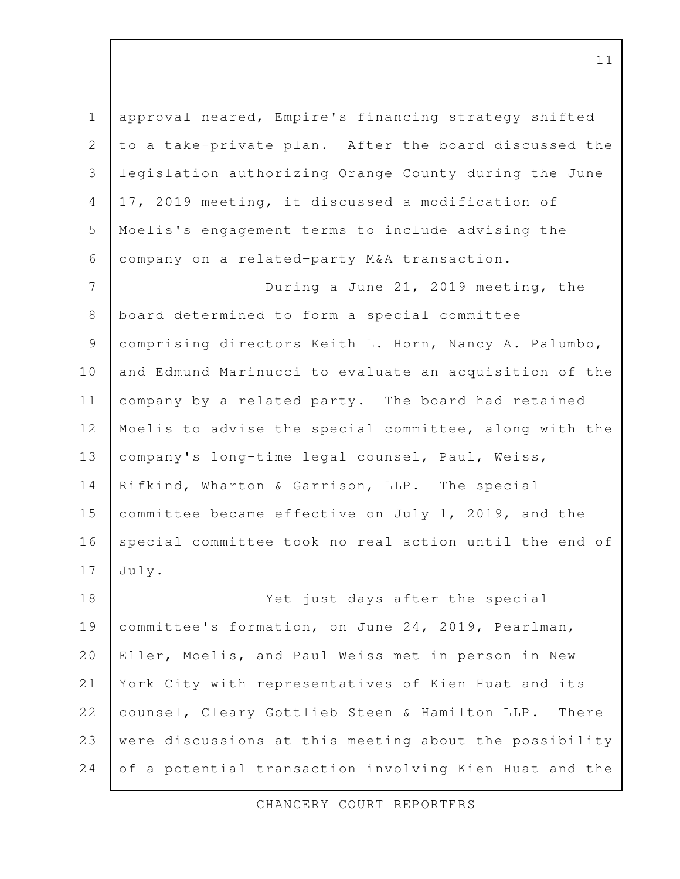| $\mathbf 1$    | approval neared, Empire's financing strategy shifted    |
|----------------|---------------------------------------------------------|
| $\overline{2}$ | to a take-private plan. After the board discussed the   |
| 3              | legislation authorizing Orange County during the June   |
| $\overline{4}$ | 17, 2019 meeting, it discussed a modification of        |
| 5              | Moelis's engagement terms to include advising the       |
| 6              | company on a related-party M&A transaction.             |
| $\overline{7}$ | During a June 21, 2019 meeting, the                     |
| $\,8\,$        | board determined to form a special committee            |
| $\mathsf 9$    | comprising directors Keith L. Horn, Nancy A. Palumbo,   |
| 10             | and Edmund Marinucci to evaluate an acquisition of the  |
| 11             | company by a related party. The board had retained      |
| 12             | Moelis to advise the special committee, along with the  |
| 13             | company's long-time legal counsel, Paul, Weiss,         |
| 14             | Rifkind, Wharton & Garrison, LLP. The special           |
| 15             | committee became effective on July 1, 2019, and the     |
| 16             | special committee took no real action until the end of  |
| 17             | July.                                                   |
| 18             | Yet just days after the special                         |
| 19             | committee's formation, on June 24, 2019, Pearlman,      |
| 20             | Eller, Moelis, and Paul Weiss met in person in New      |
| 21             | York City with representatives of Kien Huat and its     |
| 22             | counsel, Cleary Gottlieb Steen & Hamilton LLP.<br>There |
| 23             | were discussions at this meeting about the possibility  |
| 24             | of a potential transaction involving Kien Huat and the  |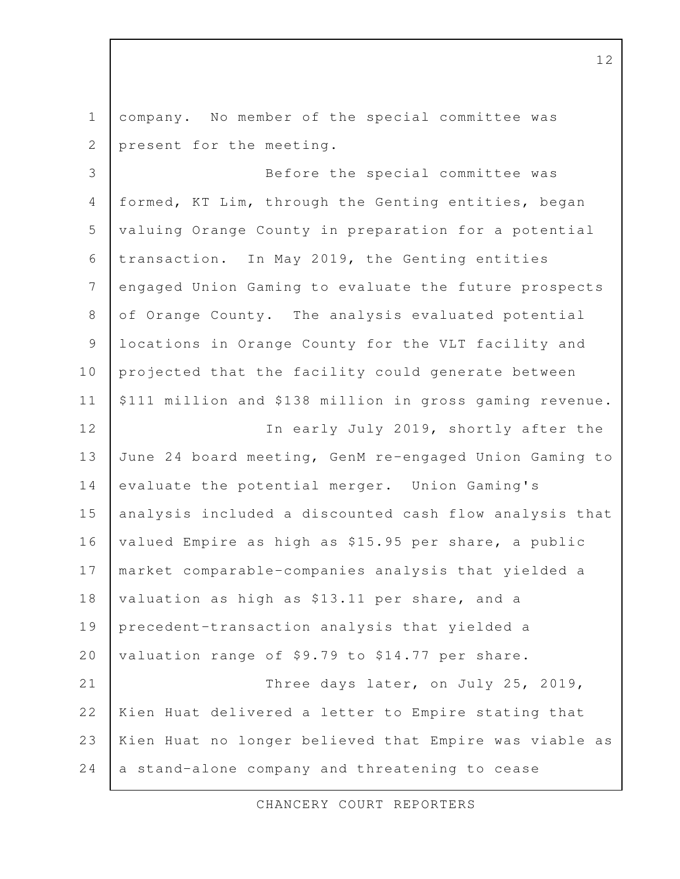company. No member of the special committee was present for the meeting. Before the special committee was formed, KT Lim, through the Genting entities, began valuing Orange County in preparation for a potential transaction. In May 2019, the Genting entities engaged Union Gaming to evaluate the future prospects of Orange County. The analysis evaluated potential locations in Orange County for the VLT facility and projected that the facility could generate between \$111 million and \$138 million in gross gaming revenue. In early July 2019, shortly after the June 24 board meeting, GenM re-engaged Union Gaming to evaluate the potential merger. Union Gaming's analysis included a discounted cash flow analysis that valued Empire as high as \$15.95 per share, a public market comparable-companies analysis that yielded a valuation as high as \$13.11 per share, and a precedent-transaction analysis that yielded a valuation range of \$9.79 to \$14.77 per share. Three days later, on July 25, 2019, Kien Huat delivered a letter to Empire stating that Kien Huat no longer believed that Empire was viable as a stand-alone company and threatening to cease 1 2 3 4 5 6 7 8 9 10 11 12 13 14 15 16 17 18 19 20 21 22 23 24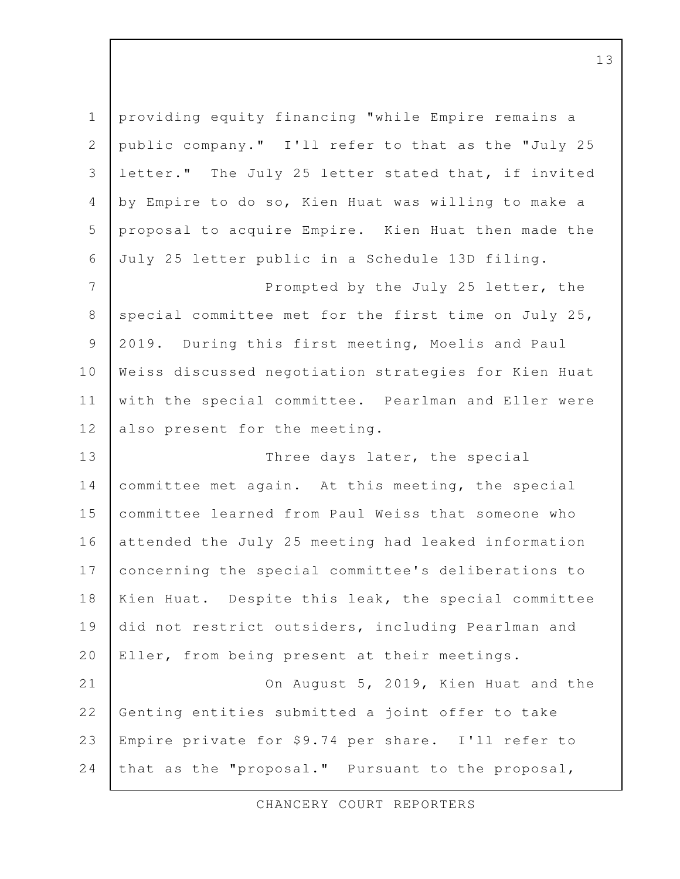| $\mathbbm{1}$  | providing equity financing "while Empire remains a   |
|----------------|------------------------------------------------------|
| $\sqrt{2}$     | public company." I'll refer to that as the "July 25  |
| 3              | letter." The July 25 letter stated that, if invited  |
| $\overline{4}$ | by Empire to do so, Kien Huat was willing to make a  |
| 5              | proposal to acquire Empire. Kien Huat then made the  |
| 6              | July 25 letter public in a Schedule 13D filing.      |
| $\overline{7}$ | Prompted by the July 25 letter, the                  |
| $\,8\,$        | special committee met for the first time on July 25, |
| $\mathcal{G}$  | 2019. During this first meeting, Moelis and Paul     |
| $10$           | Weiss discussed negotiation strategies for Kien Huat |
| 11             | with the special committee. Pearlman and Eller were  |
| 12             | also present for the meeting.                        |
| 13             | Three days later, the special                        |
| 14             | committee met again. At this meeting, the special    |
| 15             | committee learned from Paul Weiss that someone who   |
| 16             | attended the July 25 meeting had leaked information  |
| 17             | concerning the special committee's deliberations to  |
| 18             | Kien Huat. Despite this leak, the special committee  |
| 19             | did not restrict outsiders, including Pearlman and   |
| 20             | Eller, from being present at their meetings.         |
| 21             | On August 5, 2019, Kien Huat and the                 |
| 22             | Genting entities submitted a joint offer to take     |
| 23             | Empire private for \$9.74 per share. I'll refer to   |
| 24             | that as the "proposal." Pursuant to the proposal,    |
|                |                                                      |

CHANCERY COURT REPORTERS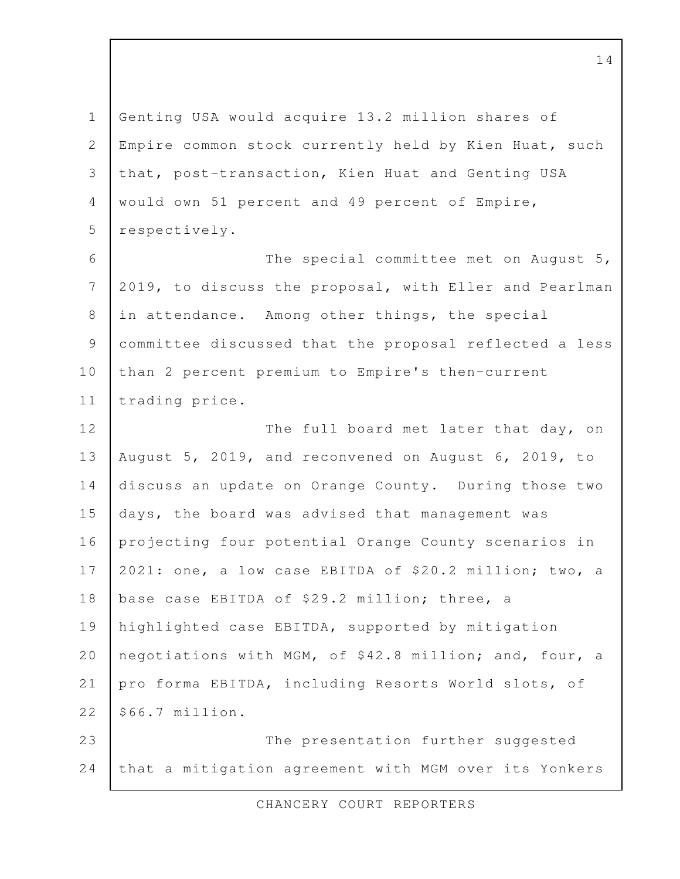Genting USA would acquire 13.2 million shares of Empire common stock currently held by Kien Huat, such that, post-transaction, Kien Huat and Genting USA would own 51 percent and 49 percent of Empire, respectively. The special committee met on August 5, 2019, to discuss the proposal, with Eller and Pearlman in attendance. Among other things, the special committee discussed that the proposal reflected a less than 2 percent premium to Empire's then-current trading price. The full board met later that day, on August 5, 2019, and reconvened on August 6, 2019, to discuss an update on Orange County. During those two days, the board was advised that management was projecting four potential Orange County scenarios in 2021: one, a low case EBITDA of \$20.2 million; two, a base case EBITDA of \$29.2 million; three, a highlighted case EBITDA, supported by mitigation negotiations with MGM, of \$42.8 million; and, four, a pro forma EBITDA, including Resorts World slots, of \$66.7 million. The presentation further suggested that a mitigation agreement with MGM over its Yonkers 1 2 3 4 5 6 7 8 9 10 11 12 13 14 15 16 17 18 19 20 21 22 23 24

CHANCERY COURT REPORTERS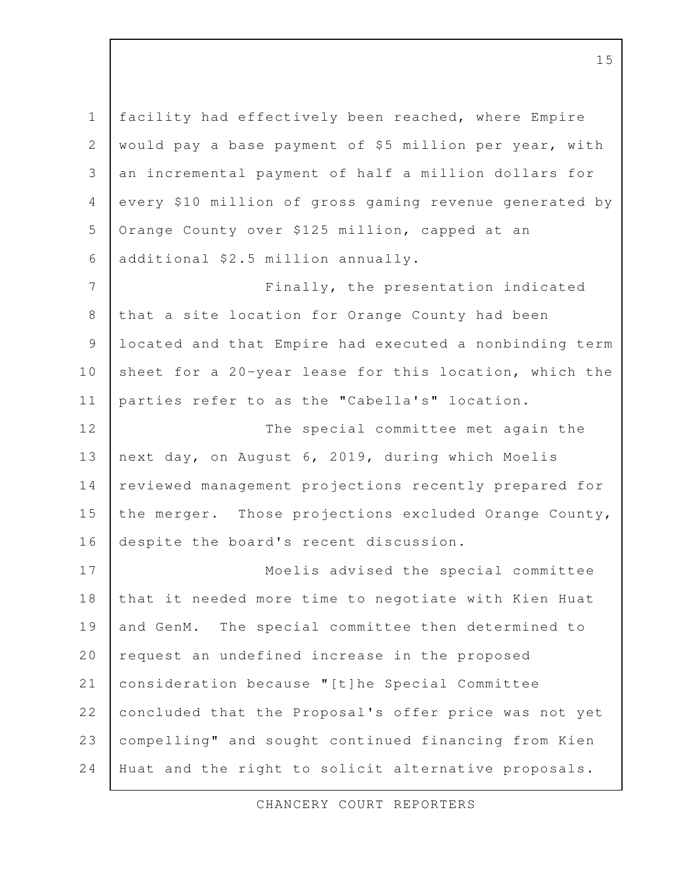facility had effectively been reached, where Empire would pay a base payment of \$5 million per year, with an incremental payment of half a million dollars for every \$10 million of gross gaming revenue generated by Orange County over \$125 million, capped at an additional \$2.5 million annually. Finally, the presentation indicated that a site location for Orange County had been located and that Empire had executed a nonbinding term sheet for a 20-year lease for this location, which the parties refer to as the "Cabella's" location. The special committee met again the next day, on August 6, 2019, during which Moelis reviewed management projections recently prepared for the merger. Those projections excluded Orange County, despite the board's recent discussion. Moelis advised the special committee that it needed more time to negotiate with Kien Huat and GenM. The special committee then determined to request an undefined increase in the proposed consideration because "[t]he Special Committee concluded that the Proposal's offer price was not yet compelling" and sought continued financing from Kien Huat and the right to solicit alternative proposals. 1 2 3 4 5 6 7 8 9 10 11 12 13 14 15 16 17 18 19 20 21 22 23 24

CHANCERY COURT REPORTERS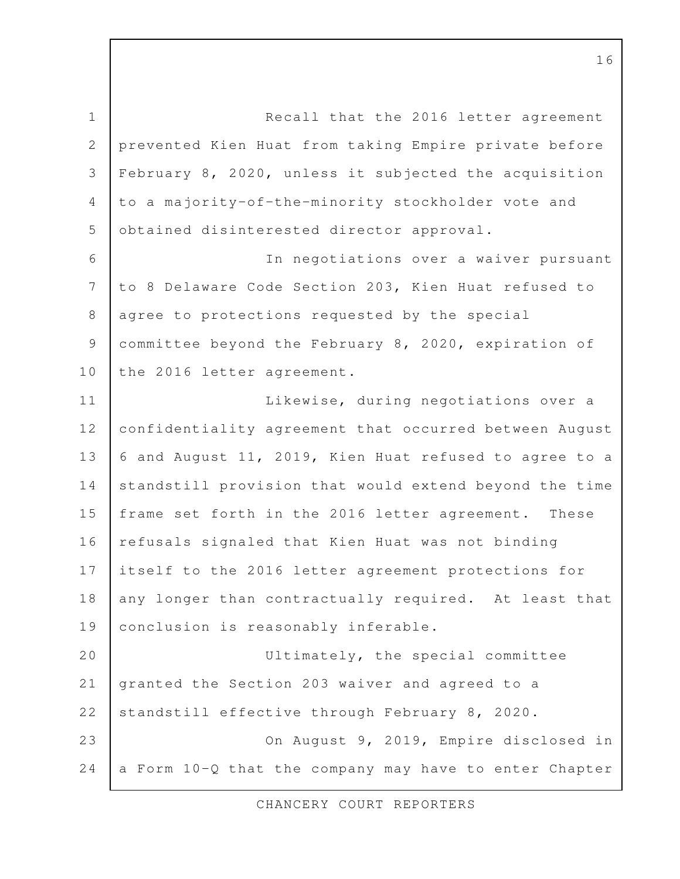Recall that the 2016 letter agreement prevented Kien Huat from taking Empire private before February 8, 2020, unless it subjected the acquisition to a majority-of-the-minority stockholder vote and obtained disinterested director approval. In negotiations over a waiver pursuant to 8 Delaware Code Section 203, Kien Huat refused to agree to protections requested by the special committee beyond the February 8, 2020, expiration of the 2016 letter agreement. Likewise, during negotiations over a confidentiality agreement that occurred between August 6 and August 11, 2019, Kien Huat refused to agree to a standstill provision that would extend beyond the time frame set forth in the 2016 letter agreement. These refusals signaled that Kien Huat was not binding itself to the 2016 letter agreement protections for 1 2 3 4 5 6 7 8 9 10 11 12 13 14 15 16 17

any longer than contractually required. At least that conclusion is reasonably inferable. 18 19

Ultimately, the special committee granted the Section 203 waiver and agreed to a standstill effective through February 8, 2020. On August 9, 2019, Empire disclosed in a Form 10-Q that the company may have to enter Chapter 20 21 22 23 24

CHANCERY COURT REPORTERS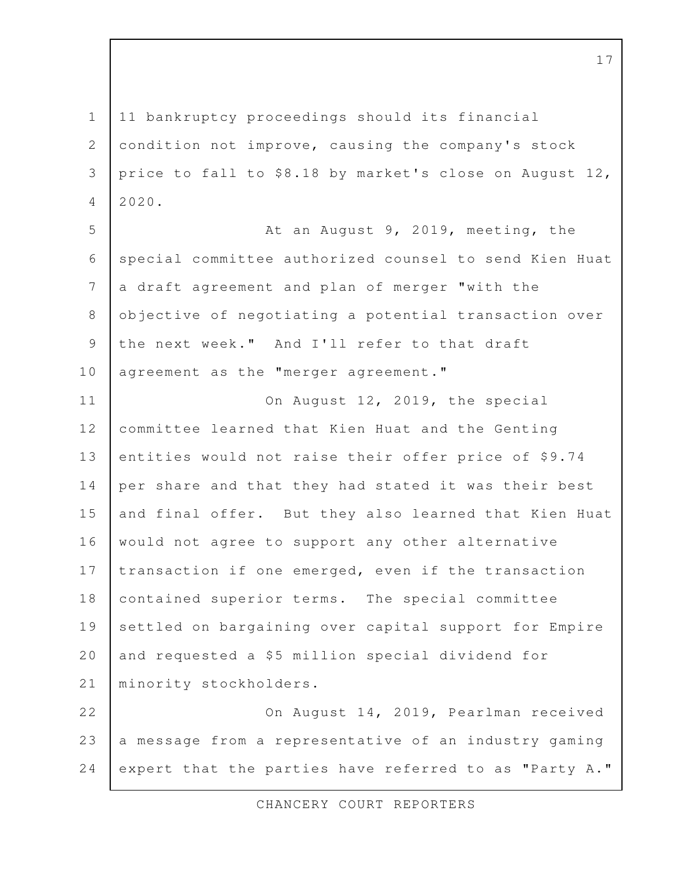11 bankruptcy proceedings should its financial condition not improve, causing the company's stock price to fall to \$8.18 by market's close on August 12, 2020. At an August 9, 2019, meeting, the special committee authorized counsel to send Kien Huat a draft agreement and plan of merger "with the objective of negotiating a potential transaction over the next week." And I'll refer to that draft agreement as the "merger agreement." On August 12, 2019, the special committee learned that Kien Huat and the Genting entities would not raise their offer price of \$9.74 per share and that they had stated it was their best and final offer. But they also learned that Kien Huat would not agree to support any other alternative transaction if one emerged, even if the transaction contained superior terms. The special committee settled on bargaining over capital support for Empire and requested a \$5 million special dividend for minority stockholders. On August 14, 2019, Pearlman received a message from a representative of an industry gaming expert that the parties have referred to as "Party A." 1 2 3 4 5 6 7 8 9 10 11 12 13 14 15 16 17 18 19 20 21 22 23 24

CHANCERY COURT REPORTERS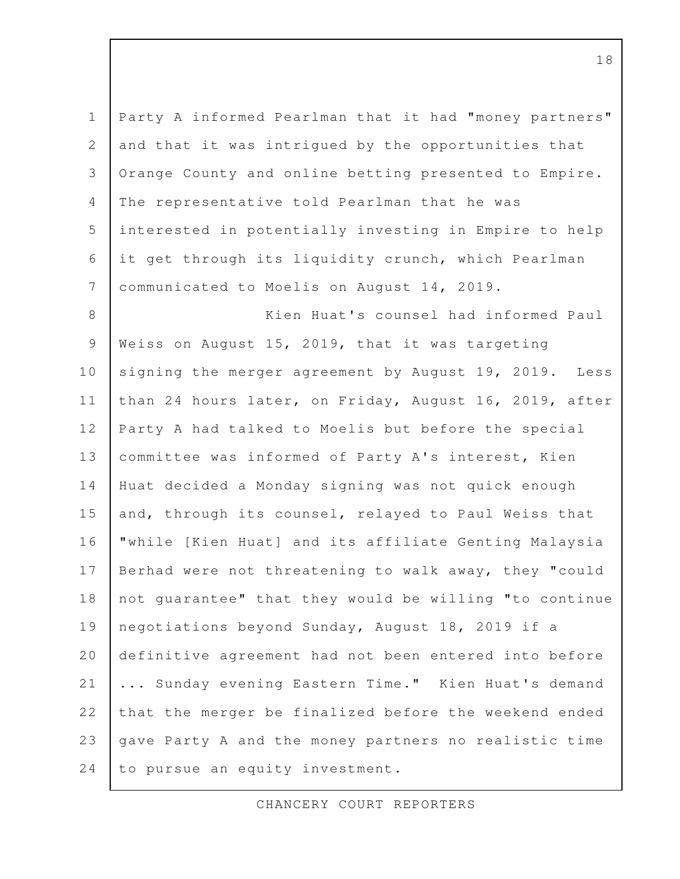Party A informed Pearlman that it had "money partners" and that it was intrigued by the opportunities that Orange County and online betting presented to Empire. The representative told Pearlman that he was interested in potentially investing in Empire to help it get through its liquidity crunch, which Pearlman communicated to Moelis on August 14, 2019. Kien Huat's counsel had informed Paul Weiss on August 15, 2019, that it was targeting signing the merger agreement by August 19, 2019. Less 1 2 3 4 5 6 7 8 9 10

than 24 hours later, on Friday, August 16, 2019, after Party A had talked to Moelis but before the special committee was informed of Party A's interest, Kien Huat decided a Monday signing was not quick enough and, through its counsel, relayed to Paul Weiss that "while [Kien Huat] and its affiliate Genting Malaysia Berhad were not threatening to walk away, they "could not guarantee" that they would be willing "to continue negotiations beyond Sunday, August 18, 2019 if a definitive agreement had not been entered into before ... Sunday evening Eastern Time." Kien Huat's demand that the merger be finalized before the weekend ended gave Party A and the money partners no realistic time to pursue an equity investment. 11 12 13 14 15 16 17 18 19 20 21 22 23 24

CHANCERY COURT REPORTERS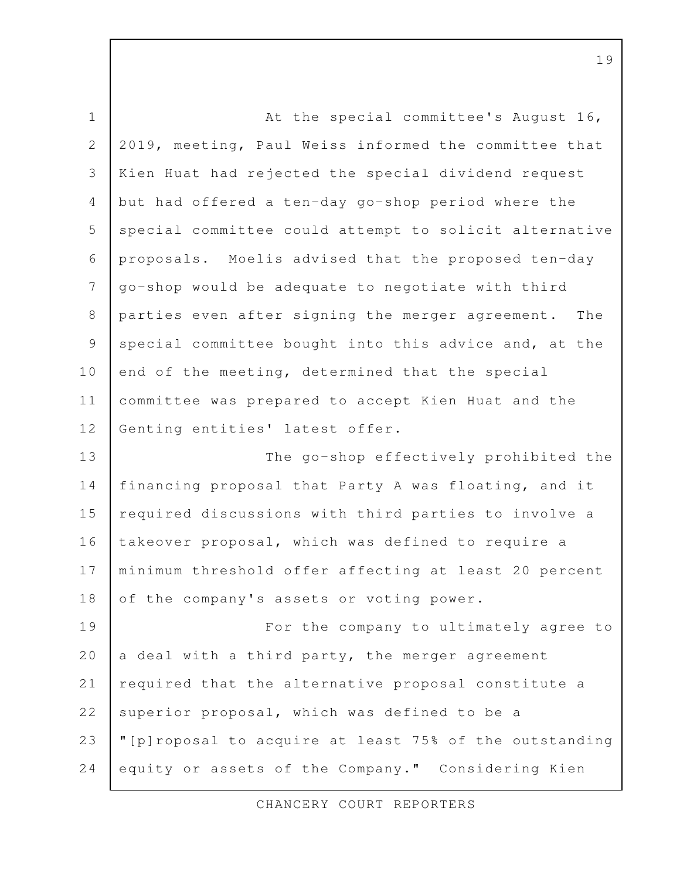At the special committee's August 16, 2019, meeting, Paul Weiss informed the committee that Kien Huat had rejected the special dividend request but had offered a ten-day go-shop period where the special committee could attempt to solicit alternative proposals. Moelis advised that the proposed ten-day go-shop would be adequate to negotiate with third parties even after signing the merger agreement. The special committee bought into this advice and, at the end of the meeting, determined that the special committee was prepared to accept Kien Huat and the Genting entities' latest offer. The go-shop effectively prohibited the financing proposal that Party A was floating, and it required discussions with third parties to involve a takeover proposal, which was defined to require a minimum threshold offer affecting at least 20 percent of the company's assets or voting power. For the company to ultimately agree to a deal with a third party, the merger agreement required that the alternative proposal constitute a superior proposal, which was defined to be a "[p]roposal to acquire at least 75% of the outstanding equity or assets of the Company." Considering Kien 1 2 3 4 5 6 7 8 9 10 11 12 13 14 15 16 17 18 19 20 21 22 23 24

CHANCERY COURT REPORTERS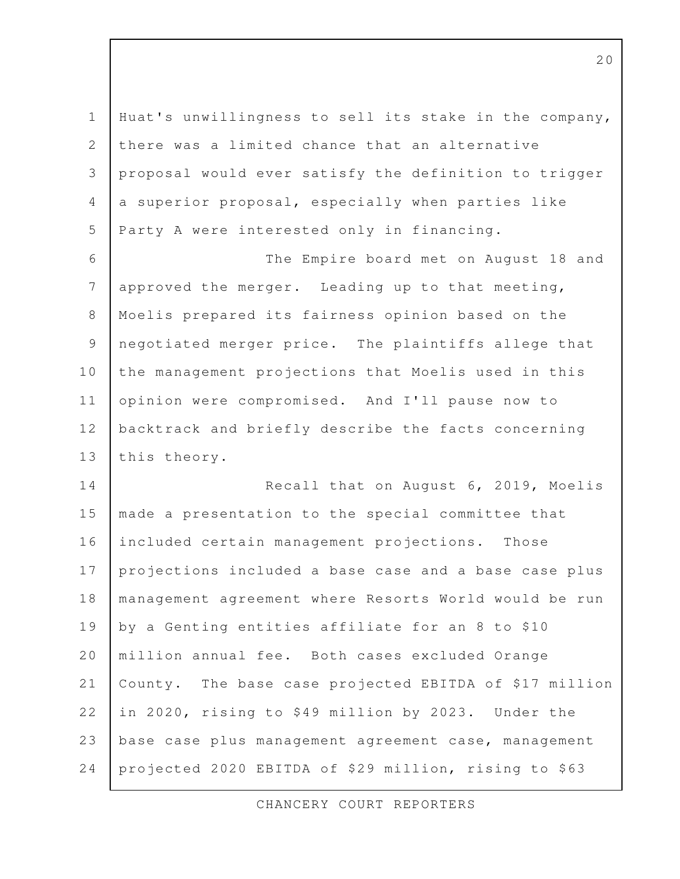| $\mathbf 1$    | Huat's unwillingness to sell its stake in the company, |
|----------------|--------------------------------------------------------|
| $\mathbf{2}$   | there was a limited chance that an alternative         |
| 3              | proposal would ever satisfy the definition to trigger  |
| $\overline{4}$ | a superior proposal, especially when parties like      |
| 5              | Party A were interested only in financing.             |
| 6              | The Empire board met on August 18 and                  |
| $\overline{7}$ | approved the merger. Leading up to that meeting,       |
| $\,8\,$        | Moelis prepared its fairness opinion based on the      |
| $\mathcal{G}$  | negotiated merger price. The plaintiffs allege that    |
| 10             | the management projections that Moelis used in this    |
| 11             | opinion were compromised. And I'll pause now to        |
| 12             | backtrack and briefly describe the facts concerning    |
| 13             | this theory.                                           |
| 14             | Recall that on August 6, 2019, Moelis                  |
| 15             | made a presentation to the special committee that      |
| 16             | included certain management projections. Those         |
| 17             | projections included a base case and a base case plus  |
| 18             | management agreement where Resorts World would be run  |
| 19             | by a Genting entities affiliate for an 8 to \$10       |
| 20             | million annual fee. Both cases excluded Orange         |
| 21             | County. The base case projected EBITDA of \$17 million |
| 22             | in 2020, rising to \$49 million by 2023. Under the     |
| 23             | base case plus management agreement case, management   |
| 24             | projected 2020 EBITDA of \$29 million, rising to \$63  |

CHANCERY COURT REPORTERS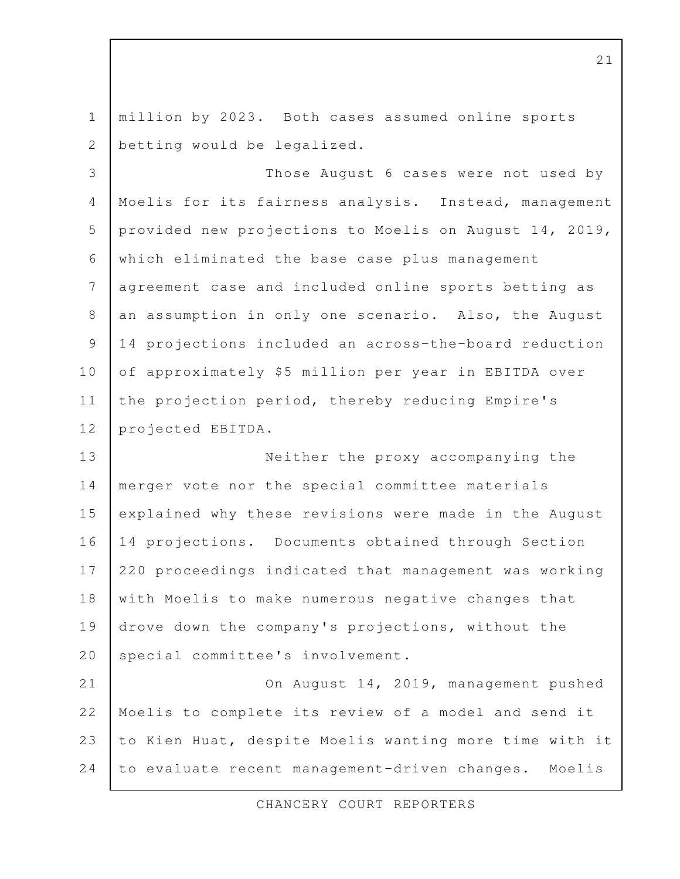million by 2023. Both cases assumed online sports betting would be legalized. 1 2

Those August 6 cases were not used by Moelis for its fairness analysis. Instead, management provided new projections to Moelis on August 14, 2019, which eliminated the base case plus management agreement case and included online sports betting as an assumption in only one scenario. Also, the August 14 projections included an across-the-board reduction of approximately \$5 million per year in EBITDA over the projection period, thereby reducing Empire's projected EBITDA. 3 4 5 6 7 8 9 10 11 12

Neither the proxy accompanying the merger vote nor the special committee materials explained why these revisions were made in the August 14 projections. Documents obtained through Section 220 proceedings indicated that management was working with Moelis to make numerous negative changes that drove down the company's projections, without the special committee's involvement. 13 14 15 16 17 18 19 20

On August 14, 2019, management pushed Moelis to complete its review of a model and send it to Kien Huat, despite Moelis wanting more time with it to evaluate recent management-driven changes. Moelis 21 22 23 24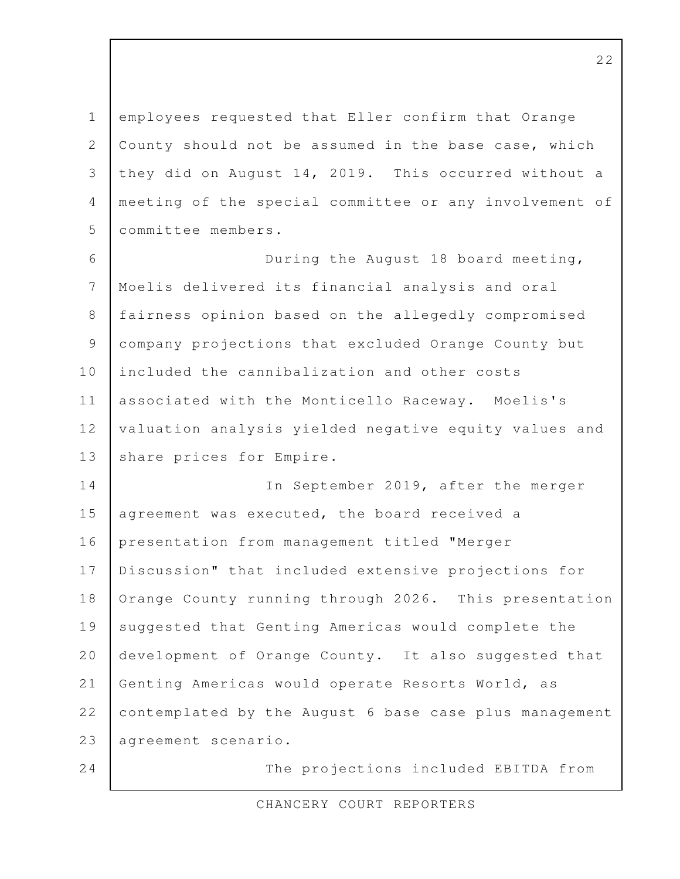employees requested that Eller confirm that Orange County should not be assumed in the base case, which they did on August 14, 2019. This occurred without a meeting of the special committee or any involvement of committee members. During the August 18 board meeting, Moelis delivered its financial analysis and oral fairness opinion based on the allegedly compromised 1 2 3 4 5 6 7 8

included the cannibalization and other costs associated with the Monticello Raceway. Moelis's valuation analysis yielded negative equity values and share prices for Empire. 10 11 12 13

company projections that excluded Orange County but

In September 2019, after the merger agreement was executed, the board received a presentation from management titled "Merger Discussion" that included extensive projections for Orange County running through 2026. This presentation suggested that Genting Americas would complete the development of Orange County. It also suggested that Genting Americas would operate Resorts World, as contemplated by the August 6 base case plus management agreement scenario. 14 15 16 17 18 19 20 21 22 23

24

9

The projections included EBITDA from

CHANCERY COURT REPORTERS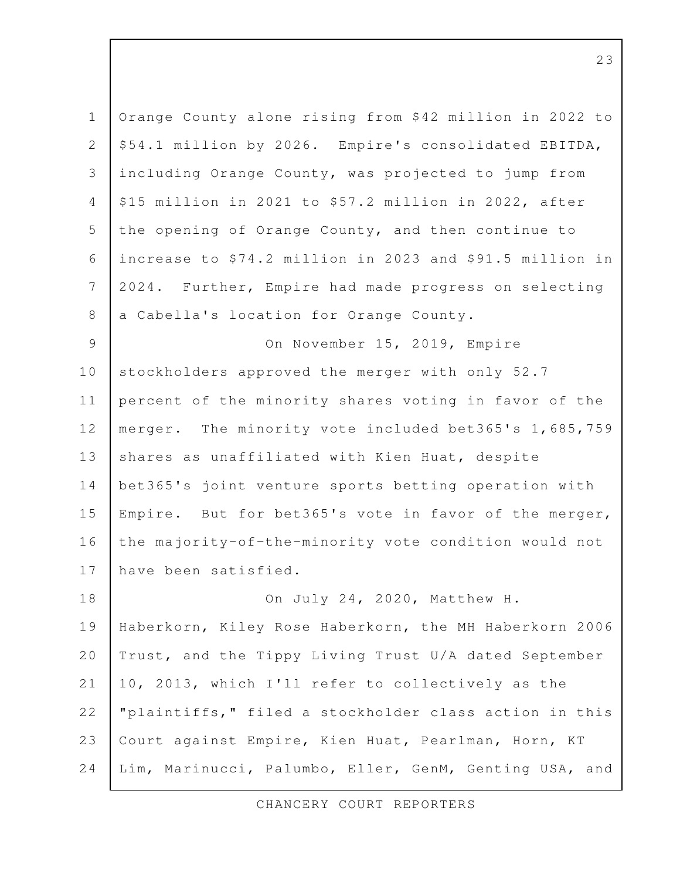| $\mathbf 1$    | Orange County alone rising from \$42 million in 2022 to  |
|----------------|----------------------------------------------------------|
| $\mathbf{2}$   | \$54.1 million by 2026. Empire's consolidated EBITDA,    |
| 3              | including Orange County, was projected to jump from      |
| 4              | \$15 million in 2021 to \$57.2 million in 2022, after    |
| 5              | the opening of Orange County, and then continue to       |
| 6              | increase to \$74.2 million in 2023 and \$91.5 million in |
| $\overline{7}$ | 2024. Further, Empire had made progress on selecting     |
| $8\,$          | a Cabella's location for Orange County.                  |
| $\mathcal{G}$  | On November 15, 2019, Empire                             |
| 10             | stockholders approved the merger with only 52.7          |
| 11             | percent of the minority shares voting in favor of the    |
| 12             | merger. The minority vote included bet365's 1,685,759    |
| 13             | shares as unaffiliated with Kien Huat, despite           |
| 14             | bet365's joint venture sports betting operation with     |
| 15             | Empire. But for bet365's vote in favor of the merger,    |
| 16             | the majority-of-the-minority vote condition would not    |
| 17             | have been satisfied.                                     |
| 18             | On July 24, 2020, Matthew H.                             |
| 19             | Haberkorn, Kiley Rose Haberkorn, the MH Haberkorn 2006   |
| 20             | Trust, and the Tippy Living Trust U/A dated September    |
| 21             | 10, 2013, which I'll refer to collectively as the        |
| 22             | "plaintiffs," filed a stockholder class action in this   |
| 23             | Court against Empire, Kien Huat, Pearlman, Horn, KT      |
| 24             | Lim, Marinucci, Palumbo, Eller, GenM, Genting USA, and   |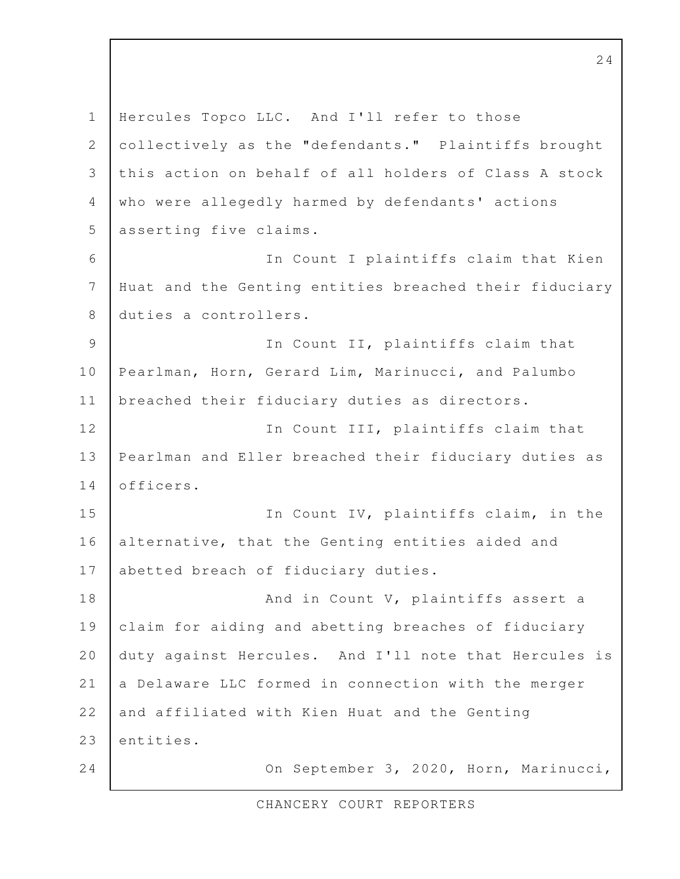Hercules Topco LLC. And I'll refer to those collectively as the "defendants." Plaintiffs brought this action on behalf of all holders of Class A stock who were allegedly harmed by defendants' actions asserting five claims. In Count I plaintiffs claim that Kien Huat and the Genting entities breached their fiduciary duties a controllers. In Count II, plaintiffs claim that Pearlman, Horn, Gerard Lim, Marinucci, and Palumbo breached their fiduciary duties as directors. In Count III, plaintiffs claim that Pearlman and Eller breached their fiduciary duties as officers. In Count IV, plaintiffs claim, in the alternative, that the Genting entities aided and abetted breach of fiduciary duties. And in Count V, plaintiffs assert a claim for aiding and abetting breaches of fiduciary duty against Hercules. And I'll note that Hercules is a Delaware LLC formed in connection with the merger and affiliated with Kien Huat and the Genting entities. On September 3, 2020, Horn, Marinucci, 1 2 3 4 5 6 7 8 9 10 11 12 13 14 15 16 17 18 19 20 21 22 23 24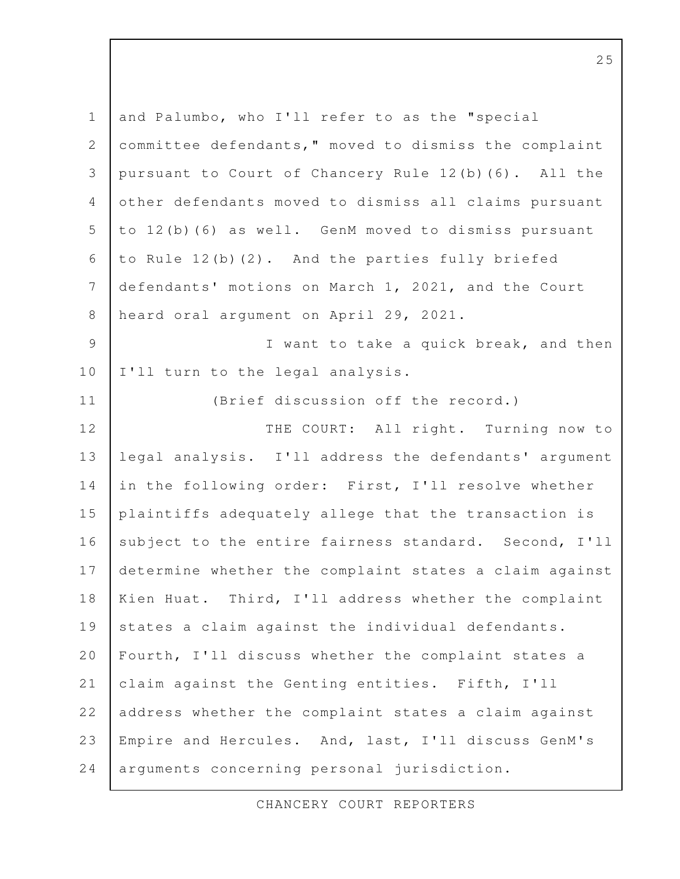| $\mathbf 1$  | and Palumbo, who I'll refer to as the "special         |
|--------------|--------------------------------------------------------|
| $\mathbf{2}$ | committee defendants, " moved to dismiss the complaint |
| 3            | pursuant to Court of Chancery Rule 12(b) (6). All the  |
| 4            | other defendants moved to dismiss all claims pursuant  |
| 5            | to 12(b)(6) as well. GenM moved to dismiss pursuant    |
| 6            | to Rule 12(b)(2). And the parties fully briefed        |
| 7            | defendants' motions on March 1, 2021, and the Court    |
| $\,8\,$      | heard oral argument on April 29, 2021.                 |
| 9            | I want to take a quick break, and then                 |
| 10           | I'll turn to the legal analysis.                       |
| 11           | (Brief discussion off the record.)                     |
| 12           | THE COURT: All right. Turning now to                   |
| 13           | legal analysis. I'll address the defendants' argument  |
| 14           | in the following order: First, I'll resolve whether    |
| 15           | plaintiffs adequately allege that the transaction is   |
| 16           | subject to the entire fairness standard. Second, I'll  |
| 17           | determine whether the complaint states a claim against |
| 18           | Kien Huat. Third, I'll address whether the complaint   |
| 19           | states a claim against the individual defendants.      |
| 20           | Fourth, I'll discuss whether the complaint states a    |
| 21           | claim against the Genting entities. Fifth, I'll        |
| 22           | address whether the complaint states a claim against   |
| 23           | Empire and Hercules. And, last, I'll discuss GenM's    |
| 24           | arguments concerning personal jurisdiction.            |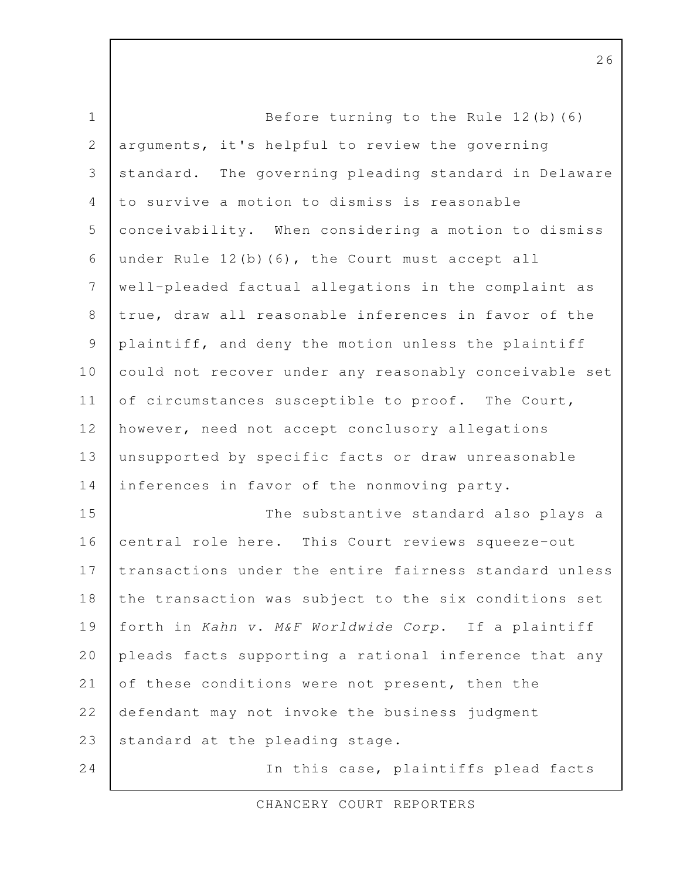Before turning to the Rule 12(b)(6) arguments, it's helpful to review the governing standard. The governing pleading standard in Delaware to survive a motion to dismiss is reasonable conceivability. When considering a motion to dismiss under Rule 12(b)(6), the Court must accept all well-pleaded factual allegations in the complaint as true, draw all reasonable inferences in favor of the plaintiff, and deny the motion unless the plaintiff could not recover under any reasonably conceivable set of circumstances susceptible to proof. The Court, however, need not accept conclusory allegations unsupported by specific facts or draw unreasonable inferences in favor of the nonmoving party. The substantive standard also plays a central role here. This Court reviews squeeze-out transactions under the entire fairness standard unless the transaction was subject to the six conditions set forth in Kahn v. M&F Worldwide Corp. If a plaintiff pleads facts supporting a rational inference that any of these conditions were not present, then the defendant may not invoke the business judgment standard at the pleading stage. In this case, plaintiffs plead facts 1 2 3 4 5 6 7 8 9 10 11 12 13 14 15 16 17 18 19 20 21 22 23 24

CHANCERY COURT REPORTERS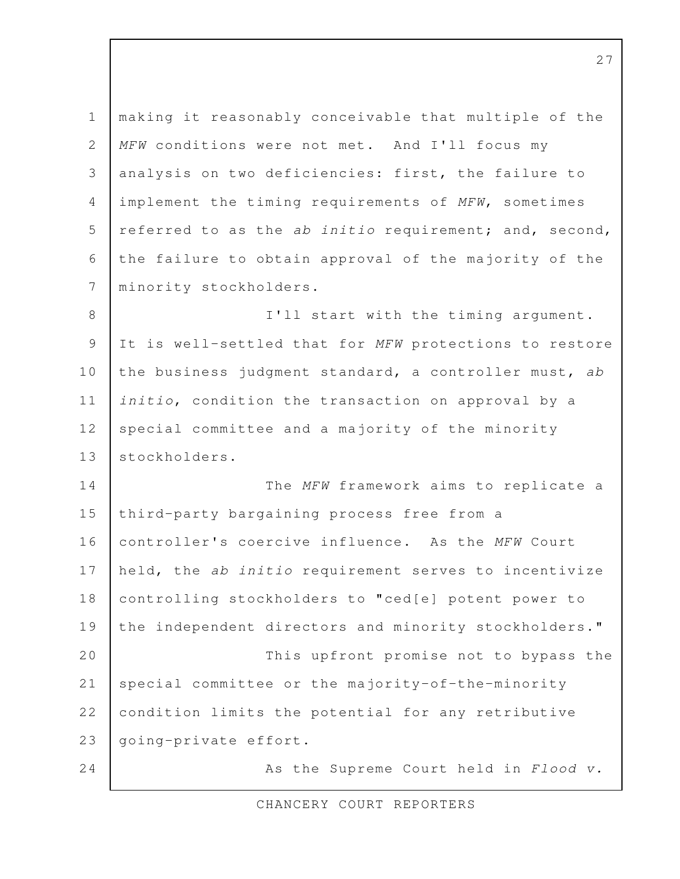making it reasonably conceivable that multiple of the MFW conditions were not met. And I'll focus my analysis on two deficiencies: first, the failure to implement the timing requirements of MFW, sometimes referred to as the ab initio requirement; and, second, the failure to obtain approval of the majority of the minority stockholders. I'll start with the timing argument. It is well-settled that for MFW protections to restore the business judgment standard, a controller must, ab initio, condition the transaction on approval by a special committee and a majority of the minority stockholders. The MFW framework aims to replicate a third-party bargaining process free from a controller's coercive influence. As the MFW Court held, the ab initio requirement serves to incentivize controlling stockholders to "ced[e] potent power to the independent directors and minority stockholders." This upfront promise not to bypass the special committee or the majority-of-the-minority condition limits the potential for any retributive going-private effort. As the Supreme Court held in Flood v. 1 2 3 4 5 6 7 8 9 10 11 12 13 14 15 16 17 18 19 20 21 22 23 24

CHANCERY COURT REPORTERS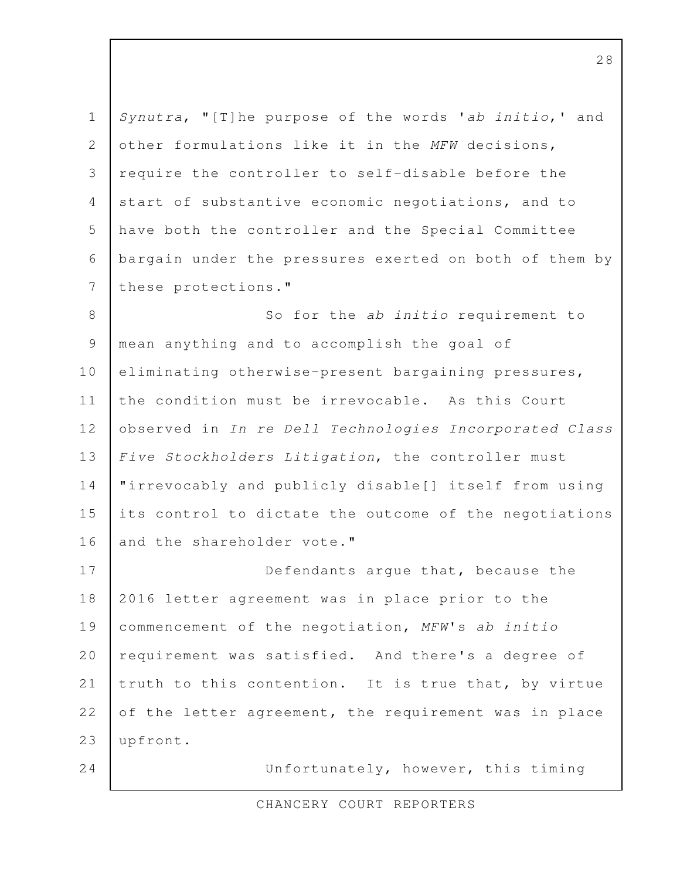Synutra, "[T]he purpose of the words 'ab initio,' and other formulations like it in the MFW decisions, require the controller to self-disable before the start of substantive economic negotiations, and to have both the controller and the Special Committee bargain under the pressures exerted on both of them by these protections." 1 2 3 4 5 6 7

So for the ab initio requirement to mean anything and to accomplish the goal of eliminating otherwise-present bargaining pressures, the condition must be irrevocable. As this Court observed in In re Dell Technologies Incorporated Class Five Stockholders Litigation, the controller must "irrevocably and publicly disable[] itself from using its control to dictate the outcome of the negotiations and the shareholder vote." 8 9 10 11 12 13 14 15 16

Defendants argue that, because the 2016 letter agreement was in place prior to the commencement of the negotiation, MFW's ab initio requirement was satisfied. And there's a degree of truth to this contention. It is true that, by virtue of the letter agreement, the requirement was in place upfront. 17 18 19 20 21 22 23

24

Unfortunately, however, this timing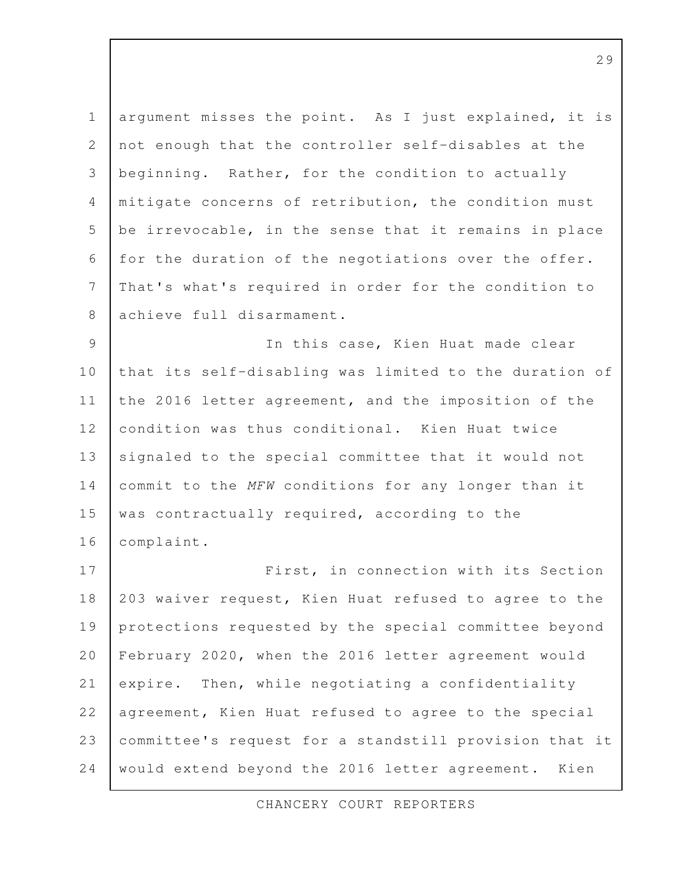argument misses the point. As I just explained, it is not enough that the controller self-disables at the beginning. Rather, for the condition to actually mitigate concerns of retribution, the condition must be irrevocable, in the sense that it remains in place for the duration of the negotiations over the offer. That's what's required in order for the condition to achieve full disarmament. 1 2 3 4 5 6 7 8

In this case, Kien Huat made clear that its self-disabling was limited to the duration of the 2016 letter agreement, and the imposition of the condition was thus conditional. Kien Huat twice signaled to the special committee that it would not commit to the MFW conditions for any longer than it was contractually required, according to the complaint. 9 10 11 12 13 14 15 16

First, in connection with its Section 203 waiver request, Kien Huat refused to agree to the protections requested by the special committee beyond February 2020, when the 2016 letter agreement would expire. Then, while negotiating a confidentiality agreement, Kien Huat refused to agree to the special committee's request for a standstill provision that it would extend beyond the 2016 letter agreement. Kien 17 18 19 20 21 22 23 24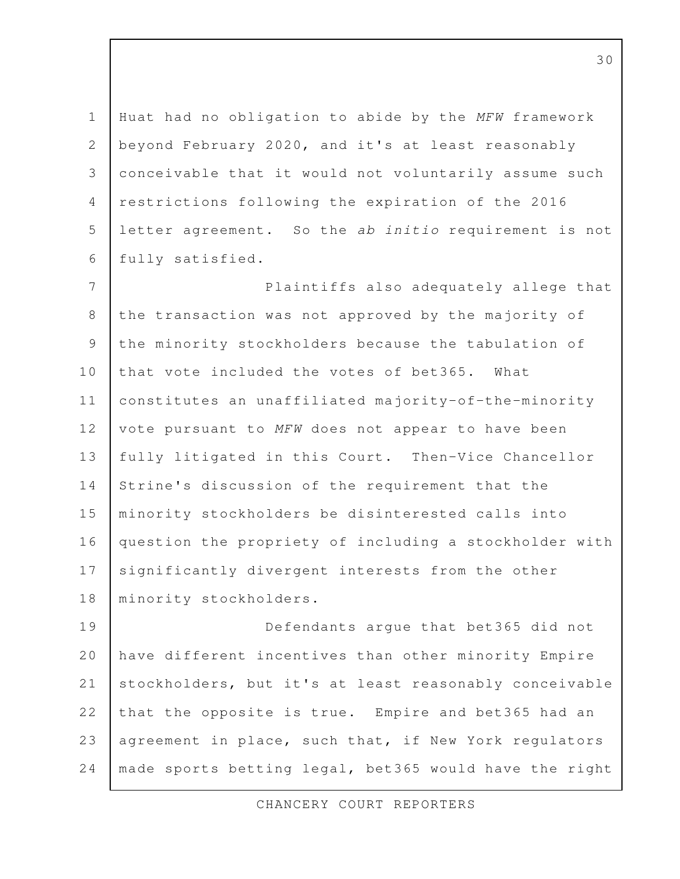Huat had no obligation to abide by the MFW framework beyond February 2020, and it's at least reasonably conceivable that it would not voluntarily assume such restrictions following the expiration of the 2016 letter agreement. So the ab initio requirement is not fully satisfied. 1 2 3 4 5 6

Plaintiffs also adequately allege that the transaction was not approved by the majority of the minority stockholders because the tabulation of that vote included the votes of bet365. What constitutes an unaffiliated majority-of-the-minority vote pursuant to MFW does not appear to have been fully litigated in this Court. Then-Vice Chancellor Strine's discussion of the requirement that the minority stockholders be disinterested calls into question the propriety of including a stockholder with significantly divergent interests from the other minority stockholders. 7 8 9 10 11 12 13 14 15 16 17 18

Defendants argue that bet365 did not have different incentives than other minority Empire stockholders, but it's at least reasonably conceivable that the opposite is true. Empire and bet365 had an agreement in place, such that, if New York regulators made sports betting legal, bet365 would have the right 19 20 21 22 23 24

CHANCERY COURT REPORTERS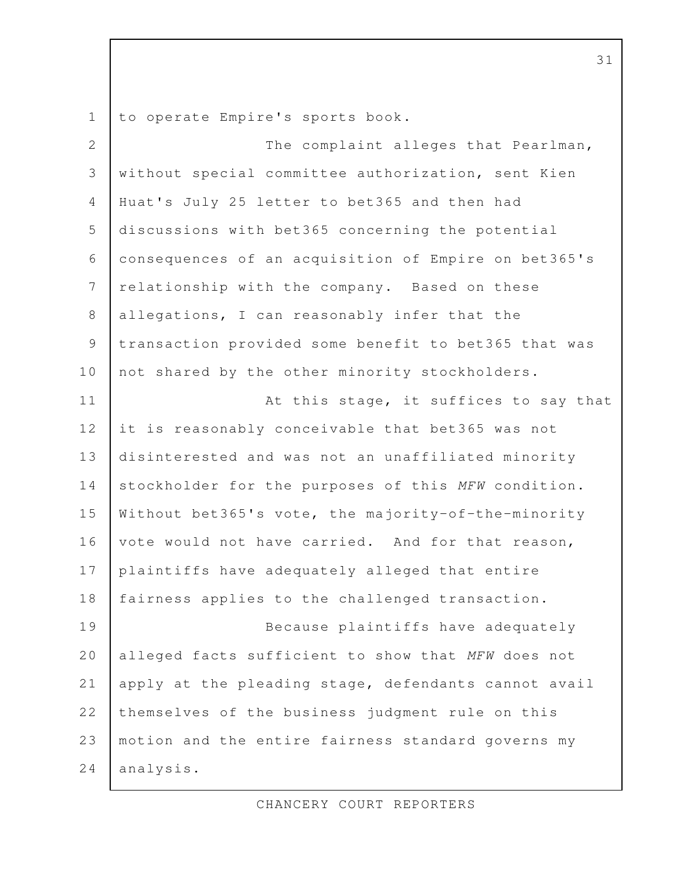to operate Empire's sports book. 1

The complaint alleges that Pearlman, without special committee authorization, sent Kien Huat's July 25 letter to bet365 and then had discussions with bet365 concerning the potential consequences of an acquisition of Empire on bet365's relationship with the company. Based on these allegations, I can reasonably infer that the transaction provided some benefit to bet365 that was not shared by the other minority stockholders. At this stage, it suffices to say that it is reasonably conceivable that bet365 was not disinterested and was not an unaffiliated minority stockholder for the purposes of this MFW condition. Without bet365's vote, the majority-of-the-minority vote would not have carried. And for that reason, plaintiffs have adequately alleged that entire fairness applies to the challenged transaction. Because plaintiffs have adequately alleged facts sufficient to show that MFW does not apply at the pleading stage, defendants cannot avail themselves of the business judgment rule on this motion and the entire fairness standard governs my analysis. 2 3 4 5 6 7 8 9 10 11 12 13 14 15 16 17 18 19 20 21 22 23 24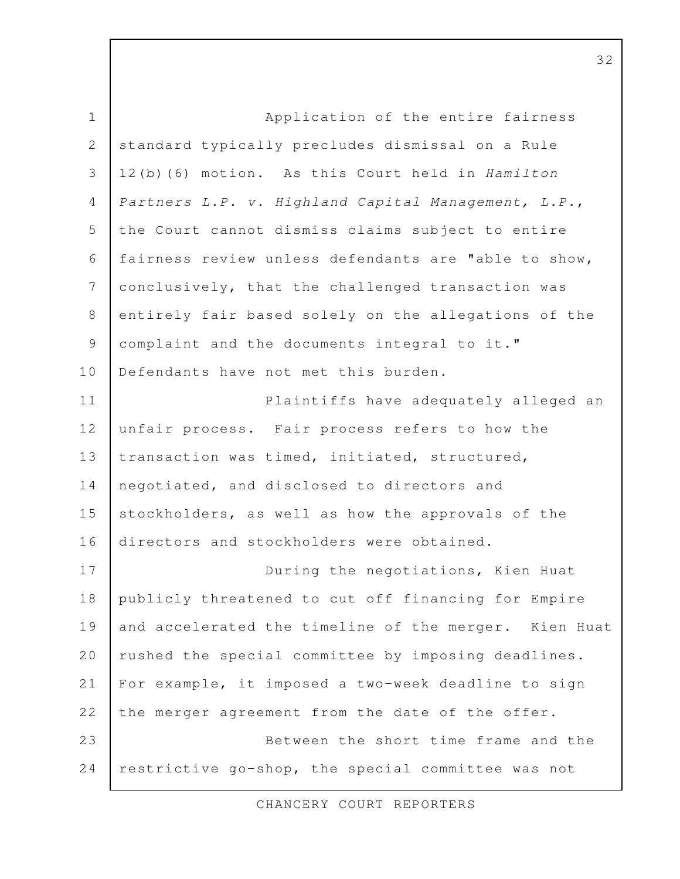Application of the entire fairness standard typically precludes dismissal on a Rule 12(b)(6) motion. As this Court held in Hamilton Partners L.P. v. Highland Capital Management, L.P., the Court cannot dismiss claims subject to entire fairness review unless defendants are "able to show, conclusively, that the challenged transaction was entirely fair based solely on the allegations of the complaint and the documents integral to it." Defendants have not met this burden. Plaintiffs have adequately alleged an unfair process. Fair process refers to how the transaction was timed, initiated, structured, negotiated, and disclosed to directors and stockholders, as well as how the approvals of the directors and stockholders were obtained. During the negotiations, Kien Huat publicly threatened to cut off financing for Empire and accelerated the timeline of the merger. Kien Huat rushed the special committee by imposing deadlines. For example, it imposed a two-week deadline to sign the merger agreement from the date of the offer. Between the short time frame and the restrictive go-shop, the special committee was not 1 2 3 4 5 6 7 8 9 10 11 12 13 14 15 16 17 18 19 20 21 22 23 24

CHANCERY COURT REPORTERS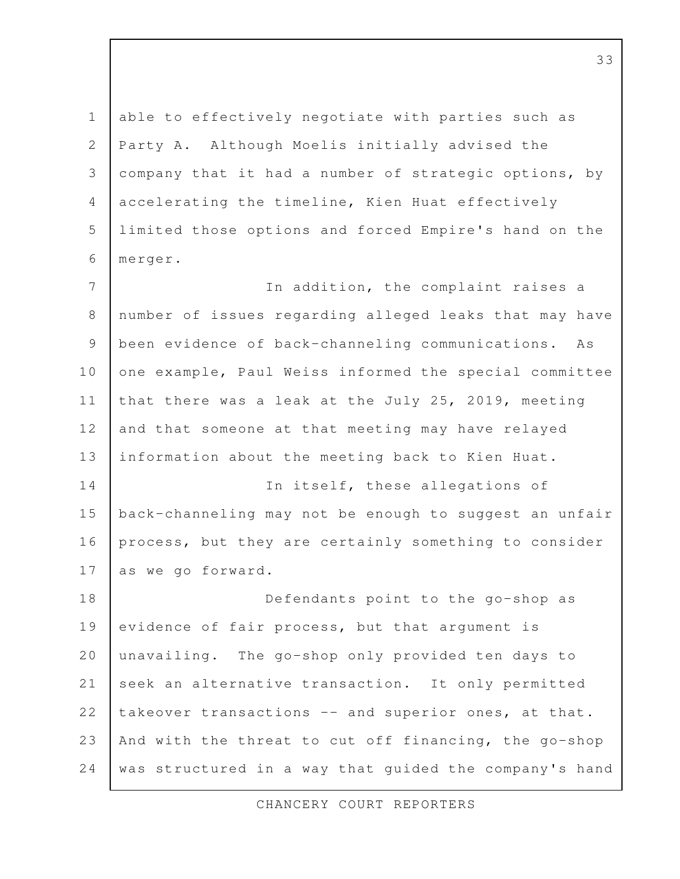able to effectively negotiate with parties such as Party A. Although Moelis initially advised the company that it had a number of strategic options, by accelerating the timeline, Kien Huat effectively limited those options and forced Empire's hand on the merger. In addition, the complaint raises a number of issues regarding alleged leaks that may have been evidence of back-channeling communications. As one example, Paul Weiss informed the special committee that there was a leak at the July 25, 2019, meeting and that someone at that meeting may have relayed information about the meeting back to Kien Huat. In itself, these allegations of back-channeling may not be enough to suggest an unfair process, but they are certainly something to consider as we go forward. 1 2 3 4 5 6 7 8 9 10 11 12 13 14 15 16 17

Defendants point to the go-shop as evidence of fair process, but that argument is unavailing. The go-shop only provided ten days to seek an alternative transaction. It only permitted takeover transactions -- and superior ones, at that. And with the threat to cut off financing, the go-shop was structured in a way that guided the company's hand 18 19 20 21 22 23 24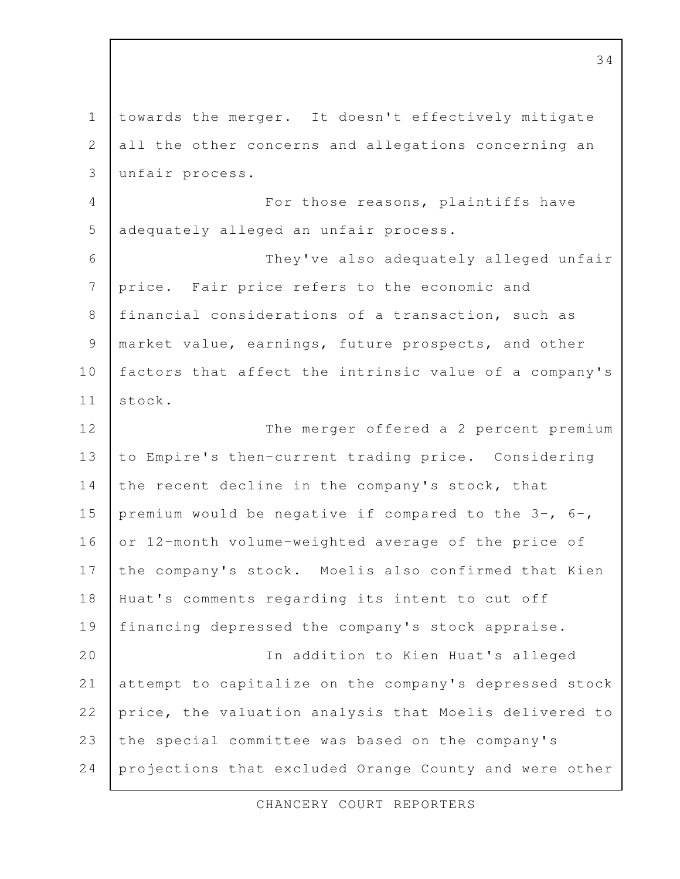towards the merger. It doesn't effectively mitigate all the other concerns and allegations concerning an unfair process. For those reasons, plaintiffs have adequately alleged an unfair process. They've also adequately alleged unfair price. Fair price refers to the economic and financial considerations of a transaction, such as market value, earnings, future prospects, and other factors that affect the intrinsic value of a company's stock. The merger offered a 2 percent premium to Empire's then-current trading price. Considering the recent decline in the company's stock, that premium would be negative if compared to the 3-, 6-, or 12-month volume-weighted average of the price of the company's stock. Moelis also confirmed that Kien Huat's comments regarding its intent to cut off financing depressed the company's stock appraise. In addition to Kien Huat's alleged attempt to capitalize on the company's depressed stock price, the valuation analysis that Moelis delivered to the special committee was based on the company's projections that excluded Orange County and were other 1 2 3 4 5 6 7 8 9 10 11 12 13 14 15 16 17 18 19 20 21 22 23 24

CHANCERY COURT REPORTERS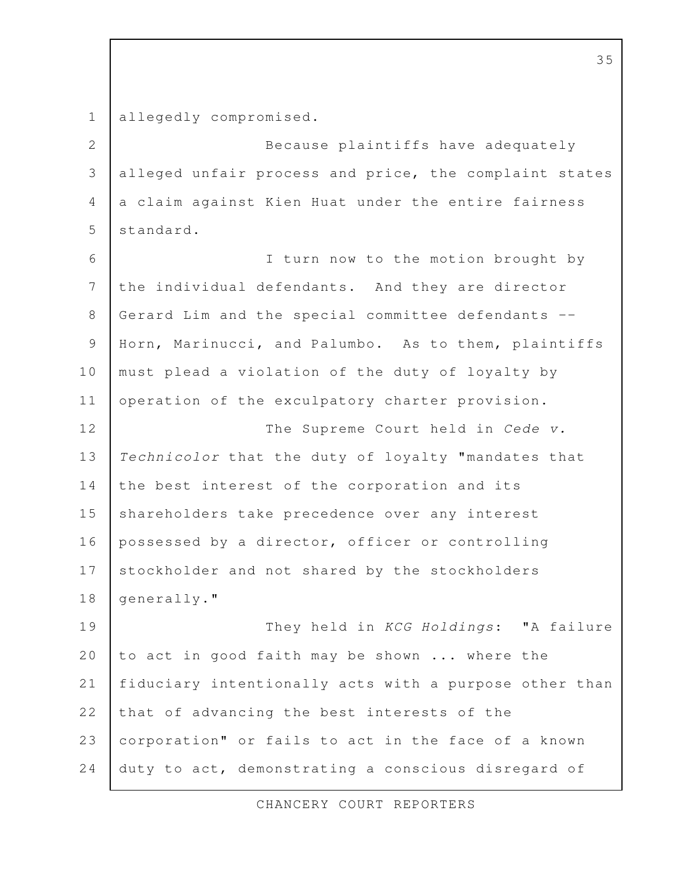allegedly compromised. 1

Because plaintiffs have adequately alleged unfair process and price, the complaint states a claim against Kien Huat under the entire fairness standard. 2 3 4 5

I turn now to the motion brought by the individual defendants. And they are director Gerard Lim and the special committee defendants -- Horn, Marinucci, and Palumbo. As to them, plaintiffs must plead a violation of the duty of loyalty by operation of the exculpatory charter provision. The Supreme Court held in Cede v. Technicolor that the duty of loyalty "mandates that the best interest of the corporation and its shareholders take precedence over any interest possessed by a director, officer or controlling stockholder and not shared by the stockholders generally." They held in KCG Holdings: "A failure 6 7 8 9 10 11 12 13 14 15 16 17 18 19

to act in good faith may be shown ... where the fiduciary intentionally acts with a purpose other than that of advancing the best interests of the corporation" or fails to act in the face of a known duty to act, demonstrating a conscious disregard of 20 21 22 23 24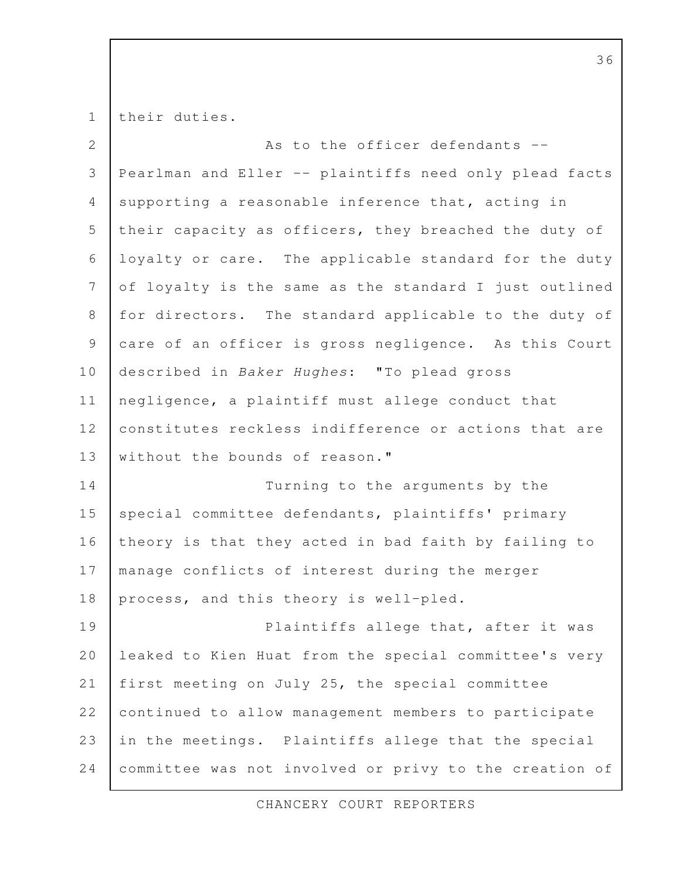their duties. As to the officer defendants -- Pearlman and Eller -- plaintiffs need only plead facts supporting a reasonable inference that, acting in their capacity as officers, they breached the duty of loyalty or care. The applicable standard for the duty of loyalty is the same as the standard I just outlined for directors. The standard applicable to the duty of care of an officer is gross negligence. As this Court described in Baker Hughes: "To plead gross negligence, a plaintiff must allege conduct that constitutes reckless indifference or actions that are without the bounds of reason." Turning to the arguments by the special committee defendants, plaintiffs' primary theory is that they acted in bad faith by failing to manage conflicts of interest during the merger process, and this theory is well-pled. Plaintiffs allege that, after it was leaked to Kien Huat from the special committee's very first meeting on July 25, the special committee continued to allow management members to participate in the meetings. Plaintiffs allege that the special committee was not involved or privy to the creation of 1 2 3 4 5 6 7 8 9 10 11 12 13 14 15 16 17 18 19 20 21 22 23 24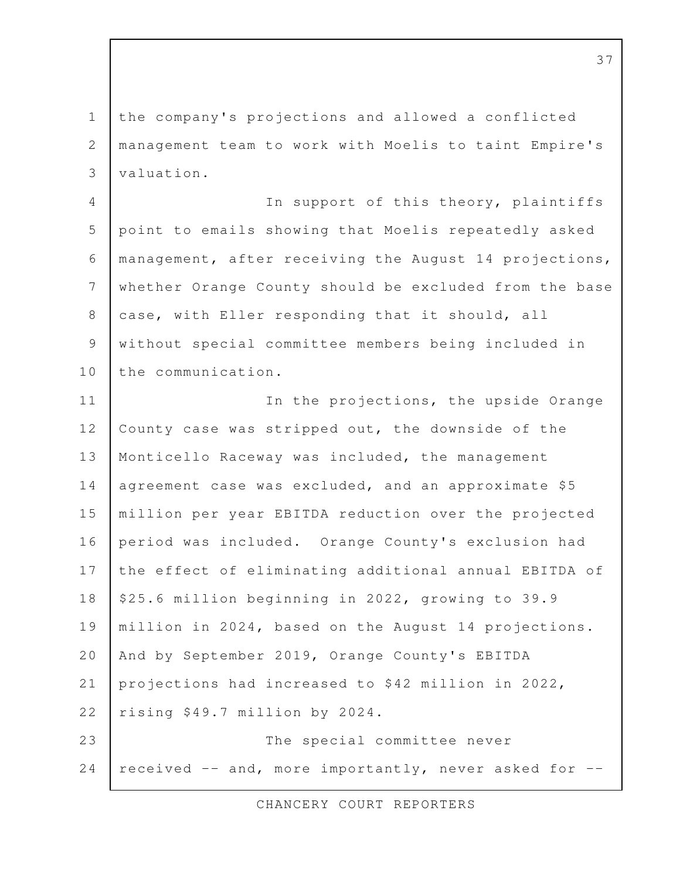the company's projections and allowed a conflicted management team to work with Moelis to taint Empire's valuation. 1 2 3

In support of this theory, plaintiffs point to emails showing that Moelis repeatedly asked management, after receiving the August 14 projections, whether Orange County should be excluded from the base case, with Eller responding that it should, all without special committee members being included in the communication. 4 5 6 7 8 9 10

In the projections, the upside Orange County case was stripped out, the downside of the Monticello Raceway was included, the management agreement case was excluded, and an approximate \$5 million per year EBITDA reduction over the projected period was included. Orange County's exclusion had the effect of eliminating additional annual EBITDA of \$25.6 million beginning in 2022, growing to 39.9 million in 2024, based on the August 14 projections. And by September 2019, Orange County's EBITDA projections had increased to \$42 million in 2022, rising \$49.7 million by 2024. The special committee never received -- and, more importantly, never asked for -- 11 12 13 14 15 16 17 18 19 20 21 22 23 24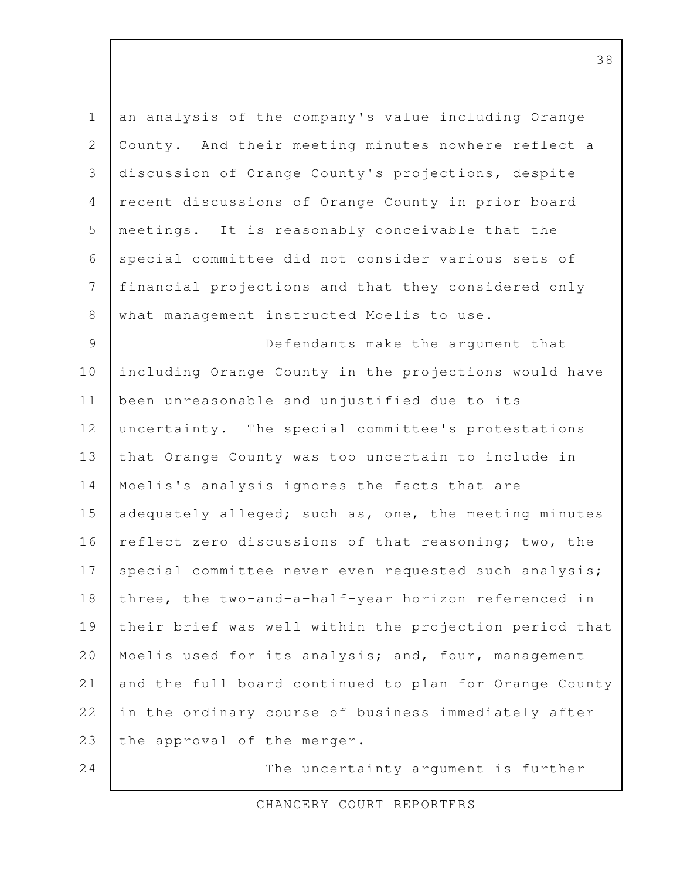an analysis of the company's value including Orange County. And their meeting minutes nowhere reflect a discussion of Orange County's projections, despite recent discussions of Orange County in prior board meetings. It is reasonably conceivable that the special committee did not consider various sets of financial projections and that they considered only what management instructed Moelis to use. Defendants make the argument that including Orange County in the projections would have been unreasonable and unjustified due to its uncertainty. The special committee's protestations that Orange County was too uncertain to include in Moelis's analysis ignores the facts that are adequately alleged; such as, one, the meeting minutes reflect zero discussions of that reasoning; two, the special committee never even requested such analysis; three, the two-and-a-half-year horizon referenced in their brief was well within the projection period that Moelis used for its analysis; and, four, management and the full board continued to plan for Orange County in the ordinary course of business immediately after the approval of the merger. The uncertainty argument is further 1 2 3 4 5 6 7 8 9 10 11 12 13 14 15 16 17 18 19 20 21 22 23 24

CHANCERY COURT REPORTERS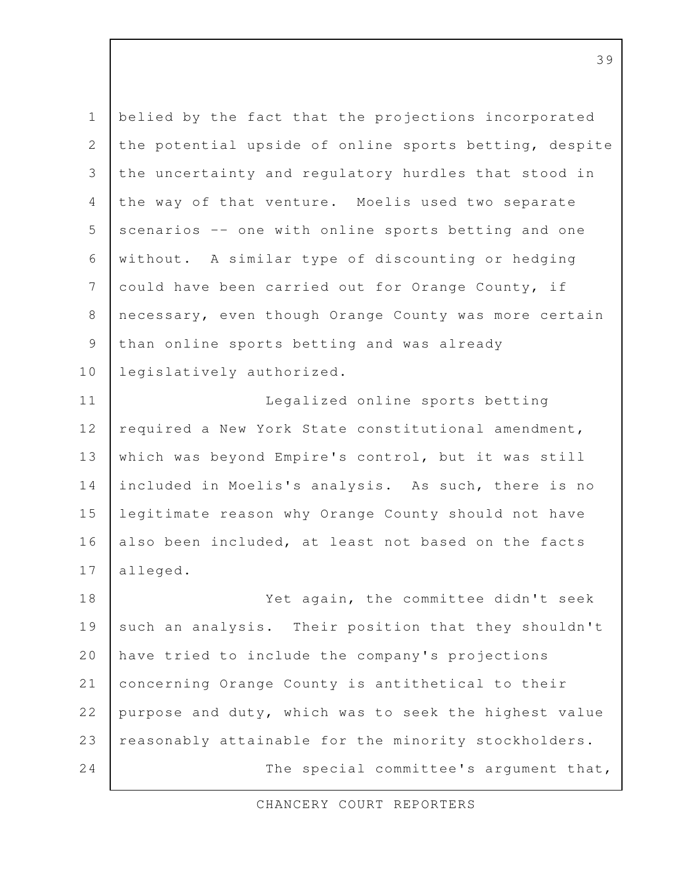| $\mathbf 1$  | belied by the fact that the projections incorporated   |
|--------------|--------------------------------------------------------|
| $\mathbf{2}$ | the potential upside of online sports betting, despite |
| 3            | the uncertainty and regulatory hurdles that stood in   |
| 4            | the way of that venture. Moelis used two separate      |
| 5            | scenarios -- one with online sports betting and one    |
| 6            | without. A similar type of discounting or hedging      |
| 7            | could have been carried out for Orange County, if      |
| 8            | necessary, even though Orange County was more certain  |
| $\mathsf 9$  | than online sports betting and was already             |
| 10           | legislatively authorized.                              |
| 11           | Legalized online sports betting                        |
| 12           | required a New York State constitutional amendment,    |
| 13           | which was beyond Empire's control, but it was still    |
| 14           | included in Moelis's analysis. As such, there is no    |
| 15           | legitimate reason why Orange County should not have    |
| 16           | also been included, at least not based on the facts    |
| 17           | alleged.                                               |
| 18           | Yet again, the committee didn't seek                   |
| 19           | such an analysis. Their position that they shouldn't   |
| 20           | have tried to include the company's projections        |
| 21           | concerning Orange County is antithetical to their      |
| 22           | purpose and duty, which was to seek the highest value  |
| 23           | reasonably attainable for the minority stockholders.   |
| 24           | The special committee's argument that,                 |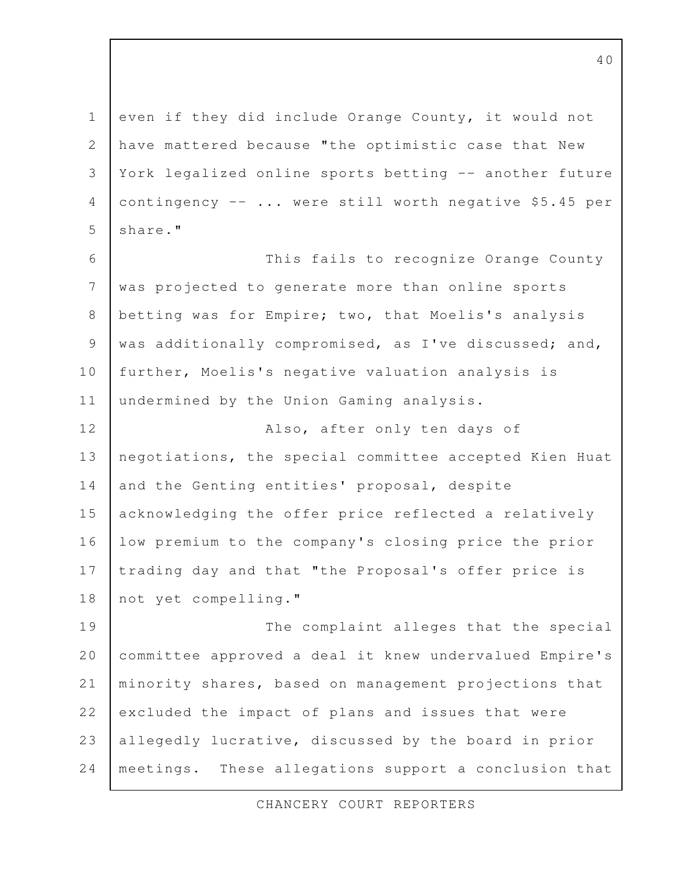even if they did include Orange County, it would not have mattered because "the optimistic case that New York legalized online sports betting -- another future contingency  $-- \ldots$  were still worth negative \$5.45 per share." 1 2 3 4 5

This fails to recognize Orange County was projected to generate more than online sports betting was for Empire; two, that Moelis's analysis was additionally compromised, as I've discussed; and, further, Moelis's negative valuation analysis is undermined by the Union Gaming analysis. Also, after only ten days of 6 7 8 9 10 11 12

negotiations, the special committee accepted Kien Huat and the Genting entities' proposal, despite acknowledging the offer price reflected a relatively low premium to the company's closing price the prior trading day and that "the Proposal's offer price is not yet compelling." 13 14 15 16 17 18

The complaint alleges that the special committee approved a deal it knew undervalued Empire's minority shares, based on management projections that excluded the impact of plans and issues that were allegedly lucrative, discussed by the board in prior meetings. These allegations support a conclusion that 19 20 21 22 23 24

CHANCERY COURT REPORTERS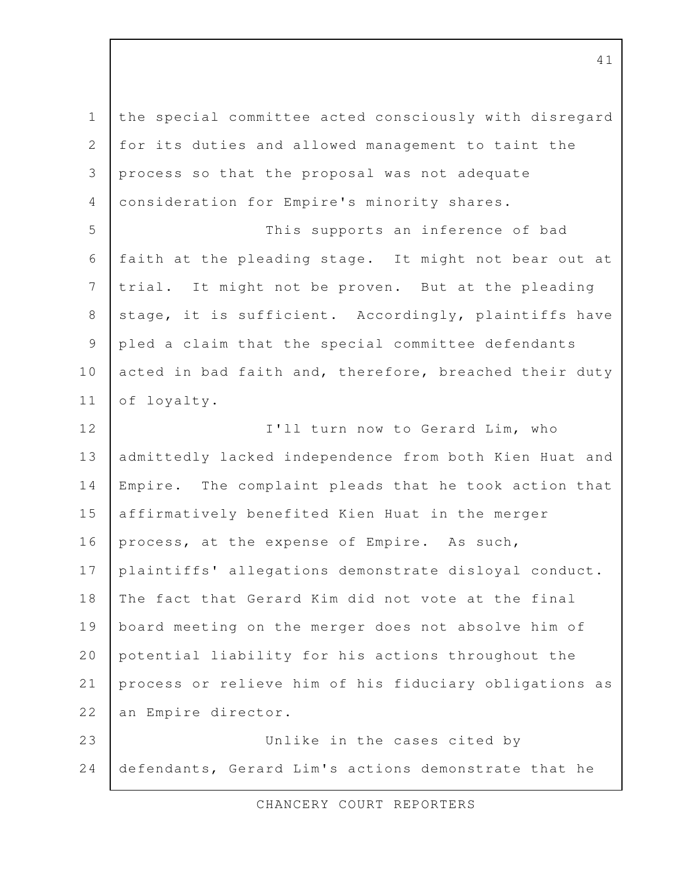the special committee acted consciously with disregard for its duties and allowed management to taint the process so that the proposal was not adequate consideration for Empire's minority shares. This supports an inference of bad faith at the pleading stage. It might not bear out at trial. It might not be proven. But at the pleading stage, it is sufficient. Accordingly, plaintiffs have pled a claim that the special committee defendants acted in bad faith and, therefore, breached their duty of loyalty. I'll turn now to Gerard Lim, who admittedly lacked independence from both Kien Huat and Empire. The complaint pleads that he took action that affirmatively benefited Kien Huat in the merger process, at the expense of Empire. As such, plaintiffs' allegations demonstrate disloyal conduct. The fact that Gerard Kim did not vote at the final board meeting on the merger does not absolve him of potential liability for his actions throughout the process or relieve him of his fiduciary obligations as an Empire director. Unlike in the cases cited by defendants, Gerard Lim's actions demonstrate that he 1 2 3 4 5 6 7 8 9 10 11 12 13 14 15 16 17 18 19 20 21 22 23 24

CHANCERY COURT REPORTERS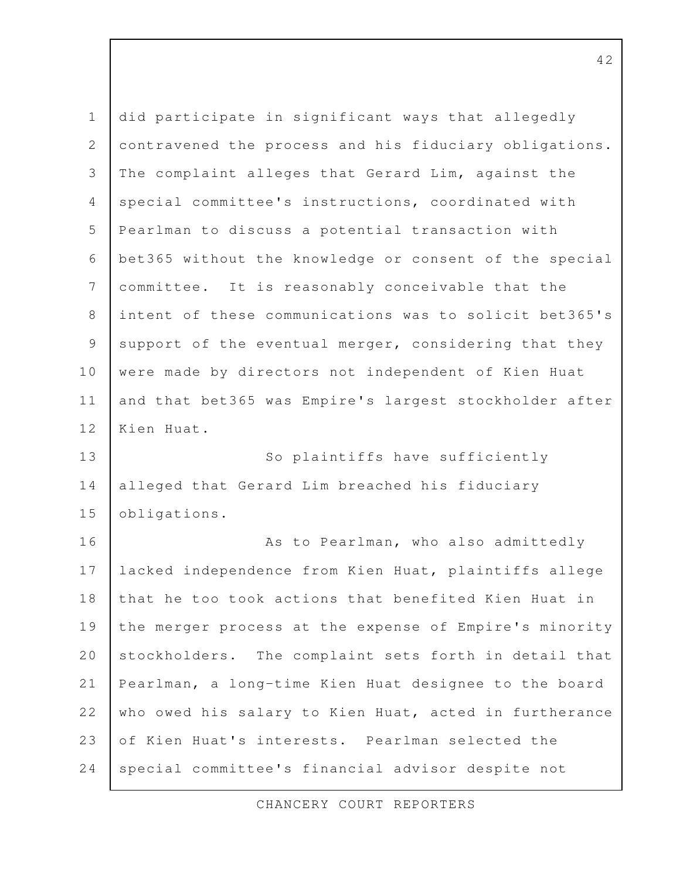| $\mathbf 1$    | did participate in significant ways that allegedly     |
|----------------|--------------------------------------------------------|
| $\overline{2}$ | contravened the process and his fiduciary obligations. |
| 3              | The complaint alleges that Gerard Lim, against the     |
| $\overline{4}$ | special committee's instructions, coordinated with     |
| 5              | Pearlman to discuss a potential transaction with       |
| 6              | bet365 without the knowledge or consent of the special |
| $\overline{7}$ | committee. It is reasonably conceivable that the       |
| $8\,$          | intent of these communications was to solicit bet365's |
| $\mathcal{G}$  | support of the eventual merger, considering that they  |
| 10             | were made by directors not independent of Kien Huat    |
| 11             | and that bet365 was Empire's largest stockholder after |
| 12             | Kien Huat.                                             |
| 13             | So plaintiffs have sufficiently                        |
| 14             | alleged that Gerard Lim breached his fiduciary         |
| 15             | obligations.                                           |
| 16             | As to Pearlman, who also admittedly                    |
| 17             | lacked independence from Kien Huat, plaintiffs allege  |
| 18             | that he too took actions that benefited Kien Huat in   |
| 19             | the merger process at the expense of Empire's minority |
| 20             | stockholders. The complaint sets forth in detail that  |
| 21             | Pearlman, a long-time Kien Huat designee to the board  |
| 22             | who owed his salary to Kien Huat, acted in furtherance |
| 23             | of Kien Huat's interests. Pearlman selected the        |
| 24             | special committee's financial advisor despite not      |

CHANCERY COURT REPORTERS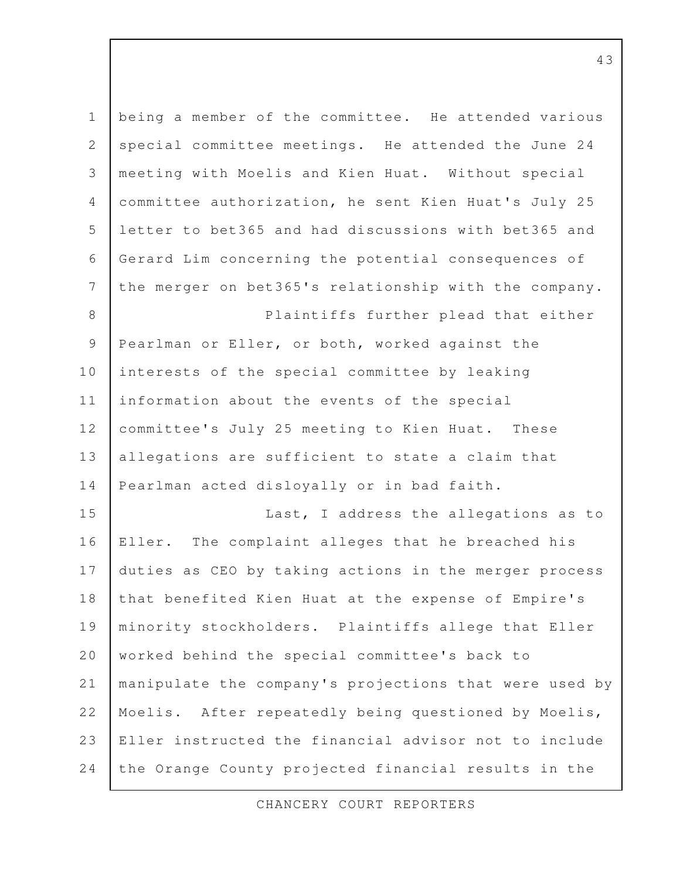being a member of the committee. He attended various special committee meetings. He attended the June 24 meeting with Moelis and Kien Huat. Without special committee authorization, he sent Kien Huat's July 25 letter to bet365 and had discussions with bet365 and Gerard Lim concerning the potential consequences of the merger on bet365's relationship with the company. Plaintiffs further plead that either Pearlman or Eller, or both, worked against the interests of the special committee by leaking information about the events of the special committee's July 25 meeting to Kien Huat. These allegations are sufficient to state a claim that Pearlman acted disloyally or in bad faith. Last, I address the allegations as to Eller. The complaint alleges that he breached his duties as CEO by taking actions in the merger process that benefited Kien Huat at the expense of Empire's minority stockholders. Plaintiffs allege that Eller worked behind the special committee's back to manipulate the company's projections that were used by Moelis. After repeatedly being questioned by Moelis, Eller instructed the financial advisor not to include the Orange County projected financial results in the 1 2 3 4 5 6 7 8 9 10 11 12 13 14 15 16 17 18 19 20 21 22 23 24

CHANCERY COURT REPORTERS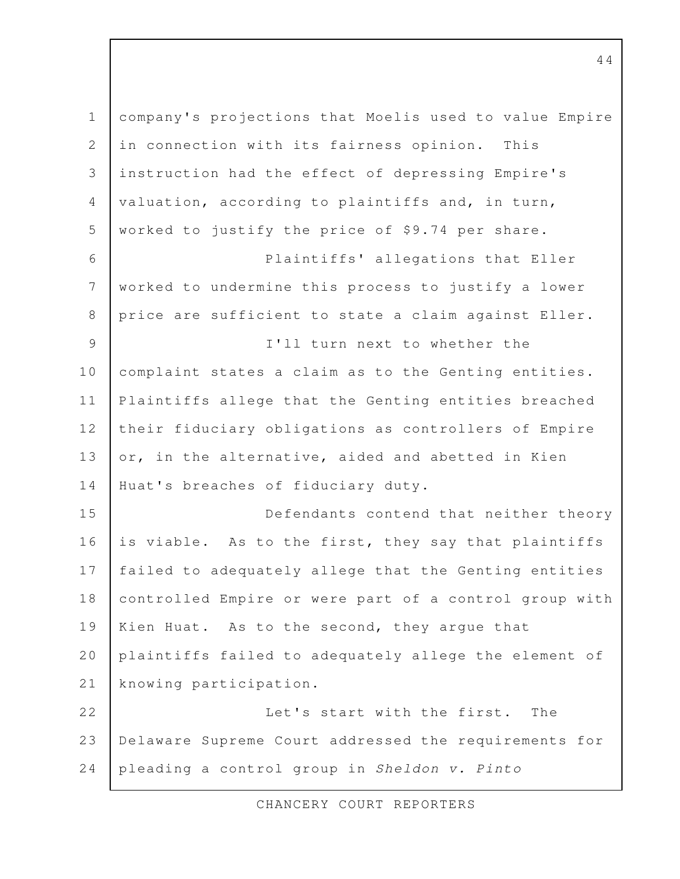| $\mathbf 1$    | company's projections that Moelis used to value Empire |
|----------------|--------------------------------------------------------|
| 2              | in connection with its fairness opinion.<br>This       |
| 3              | instruction had the effect of depressing Empire's      |
| $\overline{4}$ | valuation, according to plaintiffs and, in turn,       |
| 5              | worked to justify the price of \$9.74 per share.       |
| 6              | Plaintiffs' allegations that Eller                     |
| $7\phantom{.}$ | worked to undermine this process to justify a lower    |
| $8\,$          | price are sufficient to state a claim against Eller.   |
| 9              | I'll turn next to whether the                          |
| 10             | complaint states a claim as to the Genting entities.   |
| 11             | Plaintiffs allege that the Genting entities breached   |
| 12             | their fiduciary obligations as controllers of Empire   |
| 13             | or, in the alternative, aided and abetted in Kien      |
| 14             | Huat's breaches of fiduciary duty.                     |
| 15             | Defendants contend that neither theory                 |
| 16             | is viable. As to the first, they say that plaintiffs   |
| 17             | failed to adequately allege that the Genting entities  |
| 18             | controlled Empire or were part of a control group with |
| 19             | Kien Huat. As to the second, they argue that           |
| 20             | plaintiffs failed to adequately allege the element of  |
| 21             | knowing participation.                                 |
| 22             | Let's start with the first.<br>The                     |
| 23             | Delaware Supreme Court addressed the requirements for  |
| 24             | pleading a control group in Sheldon v. Pinto           |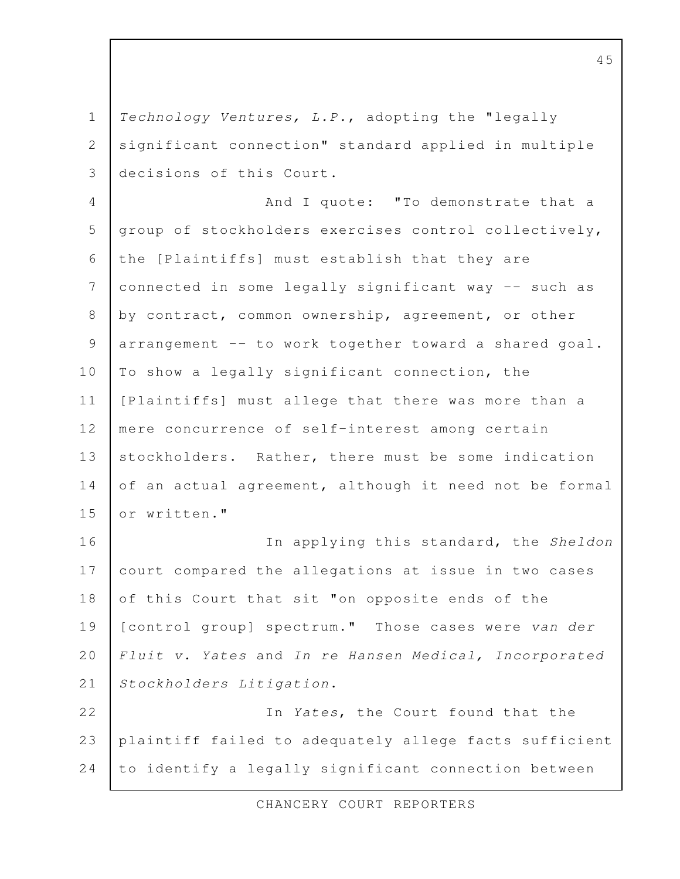Technology Ventures, L.P., adopting the "legally significant connection" standard applied in multiple decisions of this Court. 1 2 3

And I quote: "To demonstrate that a group of stockholders exercises control collectively, the [Plaintiffs] must establish that they are connected in some legally significant way -- such as by contract, common ownership, agreement, or other arrangement -- to work together toward a shared goal. To show a legally significant connection, the [Plaintiffs] must allege that there was more than a mere concurrence of self-interest among certain stockholders. Rather, there must be some indication of an actual agreement, although it need not be formal or written." 4 5 6 7 8 9 10 11 12 13 14 15

In applying this standard, the Sheldon court compared the allegations at issue in two cases of this Court that sit "on opposite ends of the [control group] spectrum." Those cases were van der Fluit v. Yates and In re Hansen Medical, Incorporated Stockholders Litigation. 16 17 18 19 20 21

In Yates, the Court found that the plaintiff failed to adequately allege facts sufficient to identify a legally significant connection between 22 23 24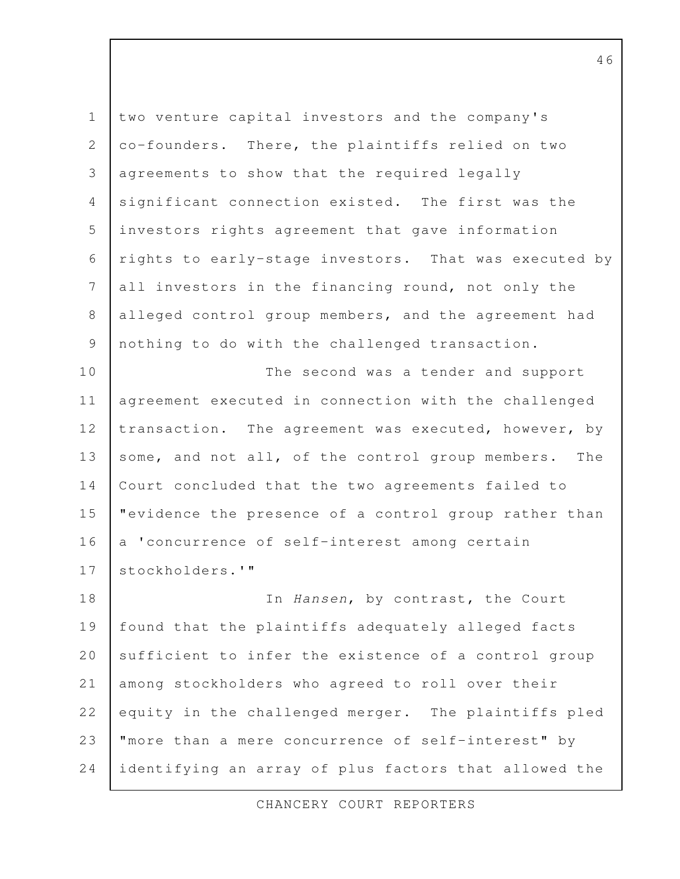two venture capital investors and the company's co-founders. There, the plaintiffs relied on two agreements to show that the required legally significant connection existed. The first was the investors rights agreement that gave information rights to early-stage investors. That was executed by all investors in the financing round, not only the alleged control group members, and the agreement had nothing to do with the challenged transaction. The second was a tender and support agreement executed in connection with the challenged transaction. The agreement was executed, however, by some, and not all, of the control group members. The Court concluded that the two agreements failed to "evidence the presence of a control group rather than a 'concurrence of self-interest among certain stockholders.'" In Hansen, by contrast, the Court found that the plaintiffs adequately alleged facts sufficient to infer the existence of a control group among stockholders who agreed to roll over their equity in the challenged merger. The plaintiffs pled "more than a mere concurrence of self-interest" by identifying an array of plus factors that allowed the 1 2 3 4 5 6 7 8 9 10 11 12 13 14 15 16 17 18 19 20 21 22 23 24

CHANCERY COURT REPORTERS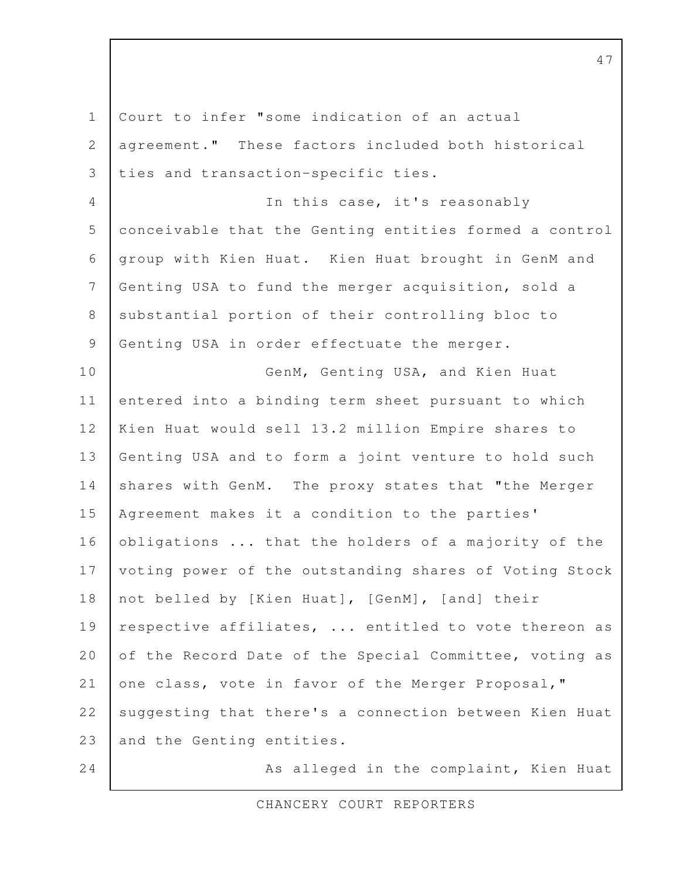Court to infer "some indication of an actual agreement." These factors included both historical ties and transaction-specific ties. In this case, it's reasonably conceivable that the Genting entities formed a control group with Kien Huat. Kien Huat brought in GenM and Genting USA to fund the merger acquisition, sold a substantial portion of their controlling bloc to Genting USA in order effectuate the merger. GenM, Genting USA, and Kien Huat entered into a binding term sheet pursuant to which Kien Huat would sell 13.2 million Empire shares to Genting USA and to form a joint venture to hold such shares with GenM. The proxy states that "the Merger Agreement makes it a condition to the parties' obligations ... that the holders of a majority of the voting power of the outstanding shares of Voting Stock not belled by [Kien Huat], [GenM], [and] their respective affiliates, ... entitled to vote thereon as of the Record Date of the Special Committee, voting as one class, vote in favor of the Merger Proposal," suggesting that there's a connection between Kien Huat and the Genting entities. As alleged in the complaint, Kien Huat 1 2 3 4 5 6 7 8 9 10 11 12 13 14 15 16 17 18 19 20 21 22 23 24

47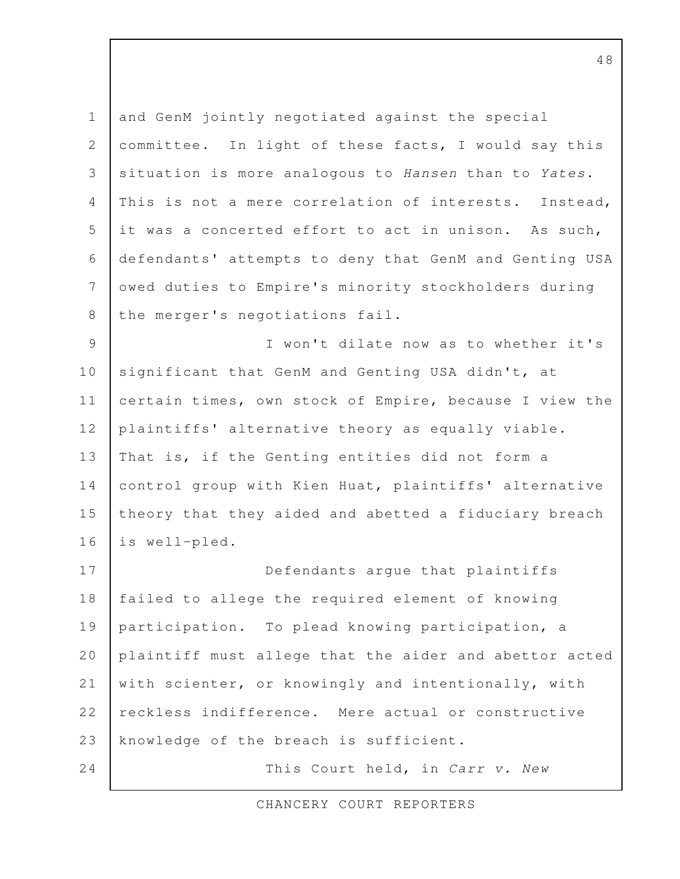and GenM jointly negotiated against the special committee. In light of these facts, I would say this situation is more analogous to Hansen than to Yates. This is not a mere correlation of interests. Instead, it was a concerted effort to act in unison. As such, defendants' attempts to deny that GenM and Genting USA owed duties to Empire's minority stockholders during the merger's negotiations fail. I won't dilate now as to whether it's significant that GenM and Genting USA didn't, at certain times, own stock of Empire, because I view the plaintiffs' alternative theory as equally viable. That is, if the Genting entities did not form a control group with Kien Huat, plaintiffs' alternative theory that they aided and abetted a fiduciary breach is well-pled. Defendants argue that plaintiffs failed to allege the required element of knowing participation. To plead knowing participation, a plaintiff must allege that the aider and abettor acted with scienter, or knowingly and intentionally, with reckless indifference. Mere actual or constructive knowledge of the breach is sufficient. This Court held, in Carr v. New 1 2 3 4 5 6 7 8 9 10 11 12 13 14 15 16 17 18 19 20 21 22 23 24

CHANCERY COURT REPORTERS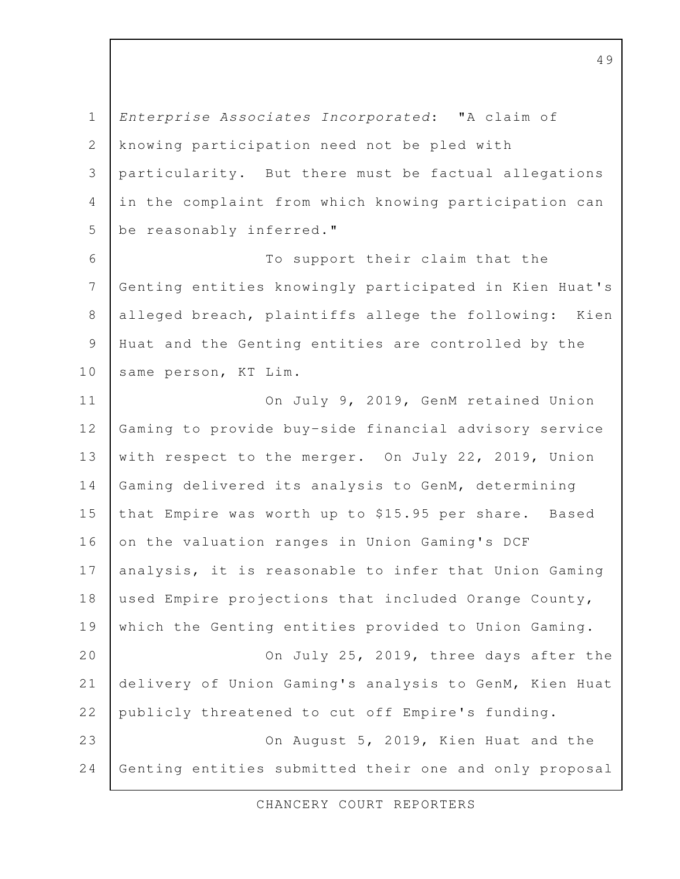Enterprise Associates Incorporated: "A claim of knowing participation need not be pled with particularity. But there must be factual allegations in the complaint from which knowing participation can be reasonably inferred." 1 2 3 4 5

To support their claim that the Genting entities knowingly participated in Kien Huat's alleged breach, plaintiffs allege the following: Kien Huat and the Genting entities are controlled by the same person, KT Lim. 6 7 8 9 10

On July 9, 2019, GenM retained Union Gaming to provide buy-side financial advisory service with respect to the merger. On July 22, 2019, Union Gaming delivered its analysis to GenM, determining that Empire was worth up to \$15.95 per share. Based on the valuation ranges in Union Gaming's DCF analysis, it is reasonable to infer that Union Gaming used Empire projections that included Orange County, which the Genting entities provided to Union Gaming. On July 25, 2019, three days after the delivery of Union Gaming's analysis to GenM, Kien Huat publicly threatened to cut off Empire's funding. On August 5, 2019, Kien Huat and the Genting entities submitted their one and only proposal 11 12 13 14 15 16 17 18 19 20 21 22 23 24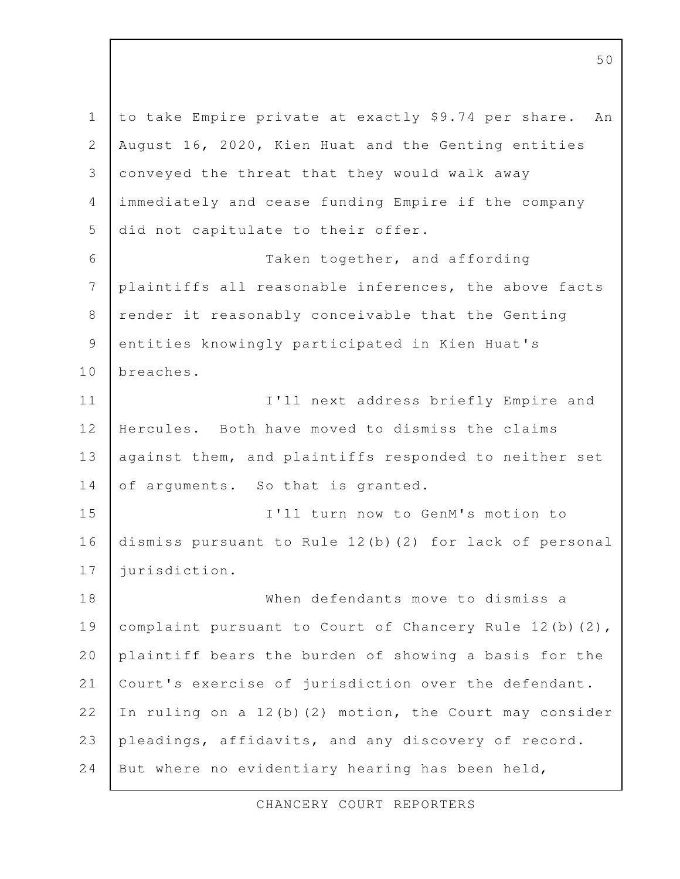to take Empire private at exactly \$9.74 per share. An August 16, 2020, Kien Huat and the Genting entities conveyed the threat that they would walk away immediately and cease funding Empire if the company did not capitulate to their offer. Taken together, and affording plaintiffs all reasonable inferences, the above facts render it reasonably conceivable that the Genting entities knowingly participated in Kien Huat's breaches. I'll next address briefly Empire and Hercules. Both have moved to dismiss the claims against them, and plaintiffs responded to neither set of arguments. So that is granted. I'll turn now to GenM's motion to dismiss pursuant to Rule 12(b)(2) for lack of personal jurisdiction. When defendants move to dismiss a complaint pursuant to Court of Chancery Rule 12(b)(2), plaintiff bears the burden of showing a basis for the Court's exercise of jurisdiction over the defendant. In ruling on a 12(b)(2) motion, the Court may consider pleadings, affidavits, and any discovery of record. But where no evidentiary hearing has been held, 1 2 3 4 5 6 7 8 9 10 11 12 13 14 15 16 17 18 19 20 21 22 23 24

CHANCERY COURT REPORTERS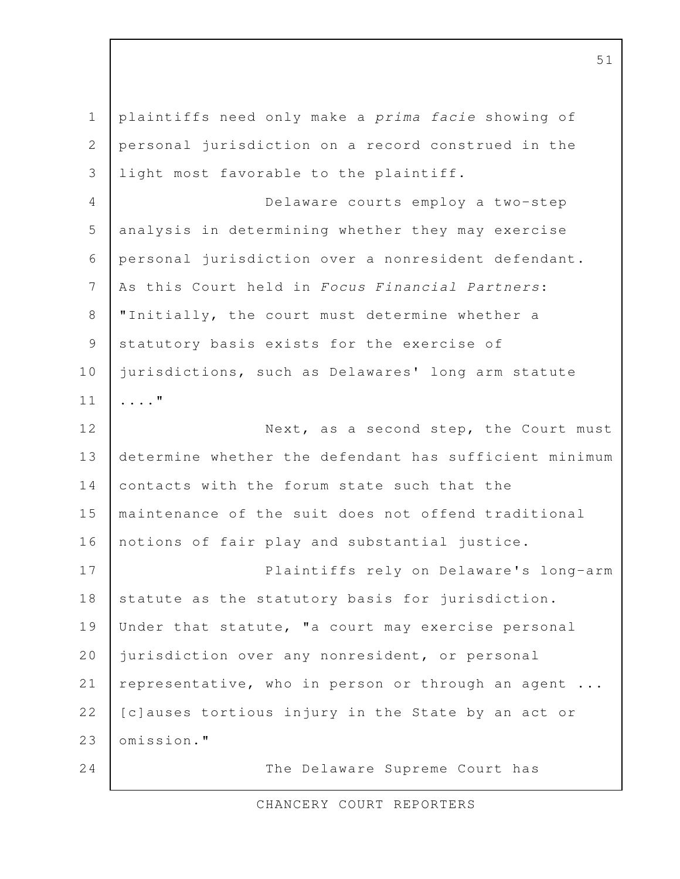| $\mathbf 1$      | plaintiffs need only make a prima facie showing of     |
|------------------|--------------------------------------------------------|
| $\mathbf{2}$     | personal jurisdiction on a record construed in the     |
| 3                | light most favorable to the plaintiff.                 |
| 4                | Delaware courts employ a two-step                      |
| 5                | analysis in determining whether they may exercise      |
| 6                | personal jurisdiction over a nonresident defendant.    |
| $\boldsymbol{7}$ | As this Court held in Focus Financial Partners:        |
| $8\,$            | "Initially, the court must determine whether a         |
| $\mathcal{G}$    | statutory basis exists for the exercise of             |
| 10               | jurisdictions, such as Delawares' long arm statute     |
| 11               | . "                                                    |
| 12               | Next, as a second step, the Court must                 |
| 13               | determine whether the defendant has sufficient minimum |
| 14               | contacts with the forum state such that the            |
| 15               | maintenance of the suit does not offend traditional    |
| 16               | notions of fair play and substantial justice.          |
| 17               | Plaintiffs rely on Delaware's long-arm                 |
| 18               | statute as the statutory basis for jurisdiction.       |
| 19               | Under that statute, "a court may exercise personal     |
| 20               | jurisdiction over any nonresident, or personal         |
| 21               | representative, who in person or through an agent      |
| 22               | [c] auses tortious injury in the State by an act or    |
| 23               | omission."                                             |
| 24               | The Delaware Supreme Court has                         |

CHANCERY COURT REPORTERS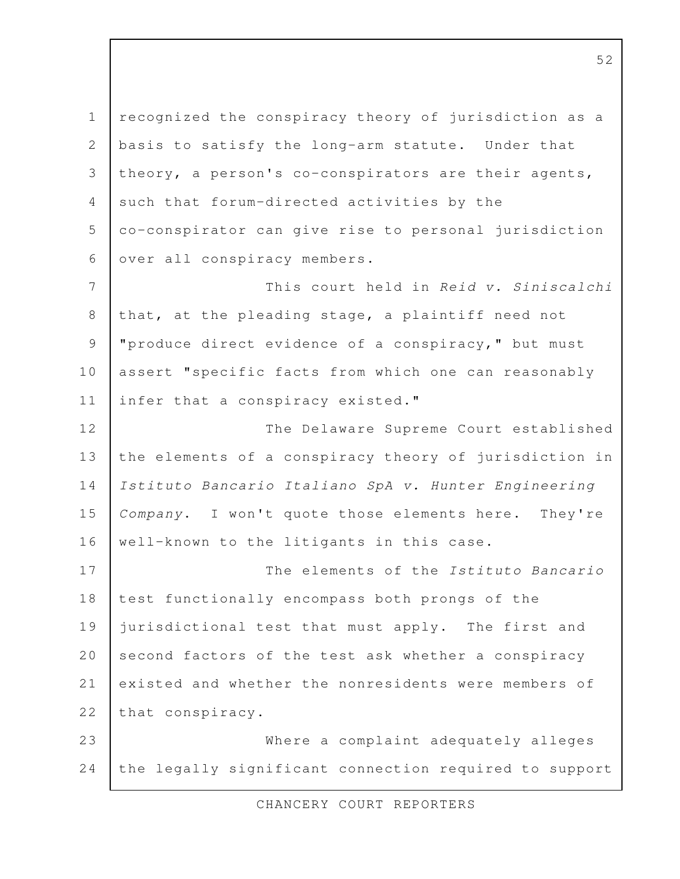recognized the conspiracy theory of jurisdiction as a basis to satisfy the long-arm statute. Under that theory, a person's co-conspirators are their agents, such that forum-directed activities by the co-conspirator can give rise to personal jurisdiction over all conspiracy members. This court held in Reid v. Siniscalchi that, at the pleading stage, a plaintiff need not "produce direct evidence of a conspiracy," but must assert "specific facts from which one can reasonably infer that a conspiracy existed." The Delaware Supreme Court established the elements of a conspiracy theory of jurisdiction in Istituto Bancario Italiano SpA v. Hunter Engineering Company. I won't quote those elements here. They're well-known to the litigants in this case. The elements of the Istituto Bancario test functionally encompass both prongs of the jurisdictional test that must apply. The first and second factors of the test ask whether a conspiracy existed and whether the nonresidents were members of that conspiracy. Where a complaint adequately alleges the legally significant connection required to support 1 2 3 4 5 6 7 8 9 10 11 12 13 14 15 16 17 18 19 20 21 22 23 24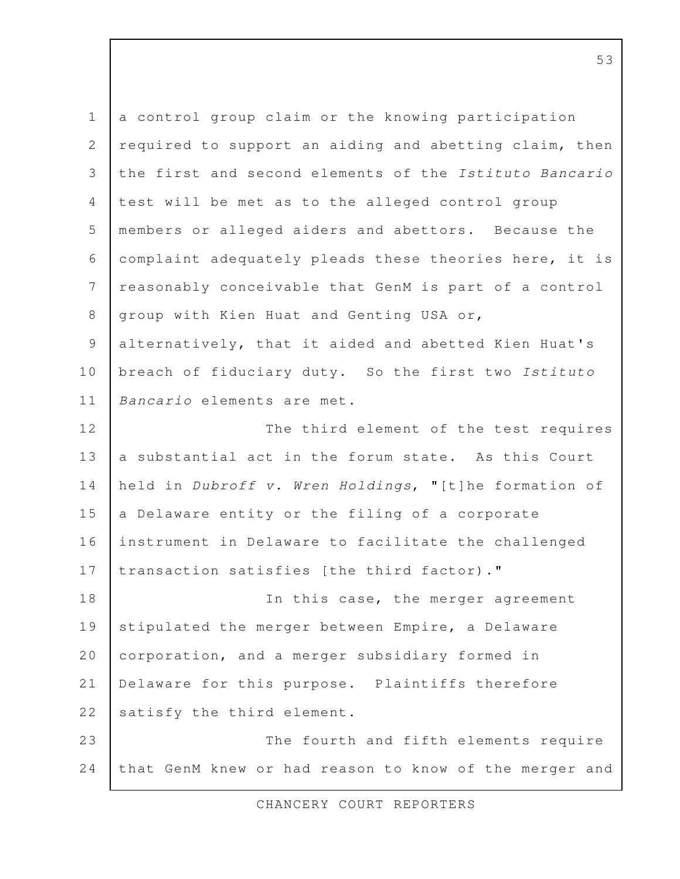a control group claim or the knowing participation required to support an aiding and abetting claim, then the first and second elements of the Istituto Bancario test will be met as to the alleged control group members or alleged aiders and abettors. Because the complaint adequately pleads these theories here, it is reasonably conceivable that GenM is part of a control group with Kien Huat and Genting USA or, alternatively, that it aided and abetted Kien Huat's breach of fiduciary duty. So the first two Istituto Bancario elements are met. The third element of the test requires a substantial act in the forum state. As this Court held in Dubroff v. Wren Holdings, "[t]he formation of a Delaware entity or the filing of a corporate instrument in Delaware to facilitate the challenged transaction satisfies [the third factor)." In this case, the merger agreement stipulated the merger between Empire, a Delaware corporation, and a merger subsidiary formed in Delaware for this purpose. Plaintiffs therefore satisfy the third element. The fourth and fifth elements require that GenM knew or had reason to know of the merger and 1 2 3 4 5 6 7 8 9 10 11 12 13 14 15 16 17 18 19 20 21 22 23 24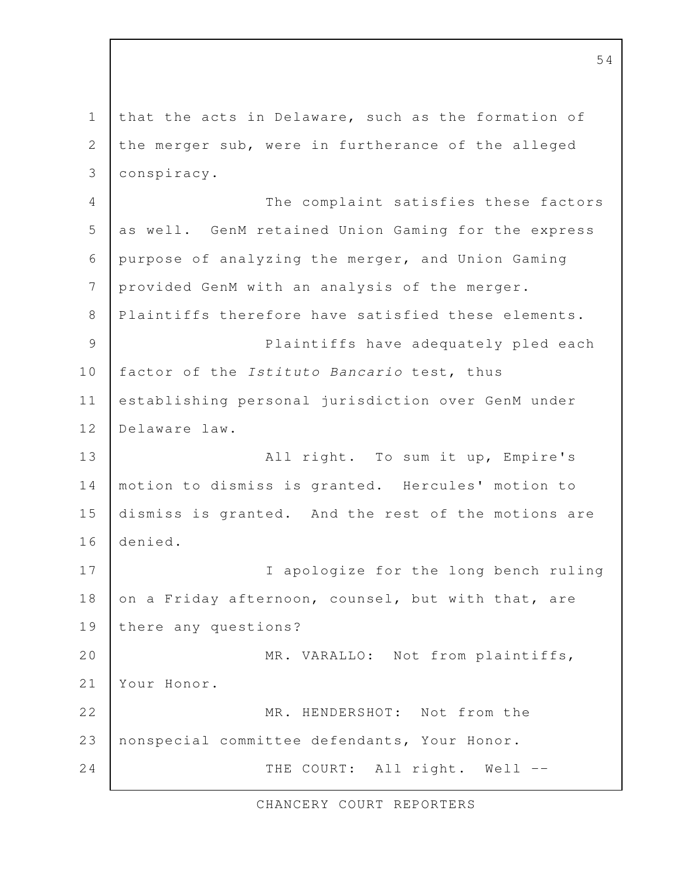that the acts in Delaware, such as the formation of the merger sub, were in furtherance of the alleged conspiracy. The complaint satisfies these factors as well. GenM retained Union Gaming for the express purpose of analyzing the merger, and Union Gaming provided GenM with an analysis of the merger. Plaintiffs therefore have satisfied these elements. Plaintiffs have adequately pled each factor of the Istituto Bancario test, thus establishing personal jurisdiction over GenM under Delaware law. All right. To sum it up, Empire's motion to dismiss is granted. Hercules' motion to dismiss is granted. And the rest of the motions are denied. I apologize for the long bench ruling on a Friday afternoon, counsel, but with that, are there any questions? MR. VARALLO: Not from plaintiffs, Your Honor. MR. HENDERSHOT: Not from the nonspecial committee defendants, Your Honor. THE COURT: All right. Well -- 1 2 3 4 5 6 7 8 9 10 11 12 13 14 15 16 17 18 19 20 21 22 23 24

CHANCERY COURT REPORTERS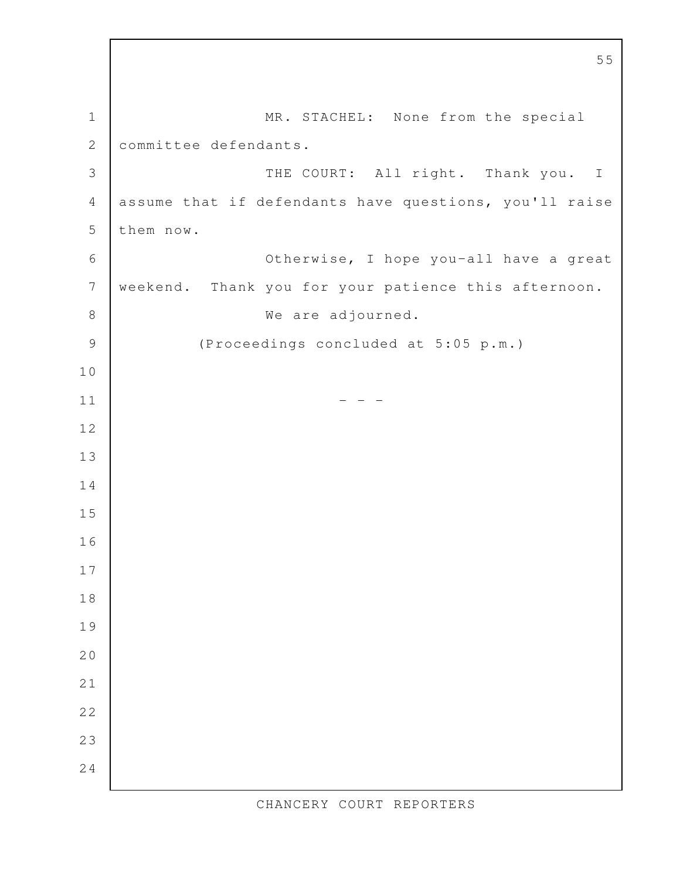MR. STACHEL: None from the special committee defendants. THE COURT: All right. Thank you. I assume that if defendants have questions, you'll raise them now. Otherwise, I hope you-all have a great weekend. Thank you for your patience this afternoon. We are adjourned. (Proceedings concluded at 5:05 p.m.)  $-$